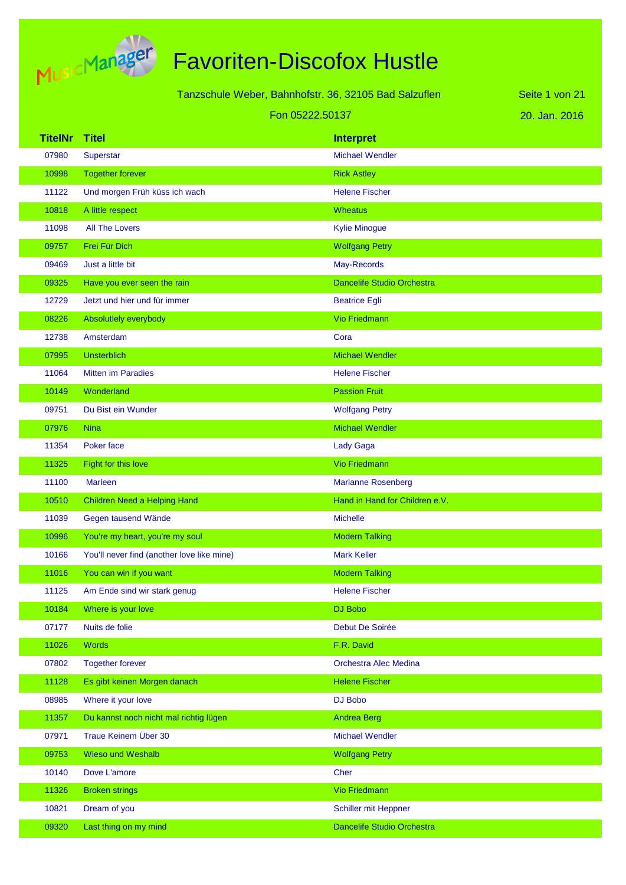

Tanzschule Weber, Bahnhofstr. 36, 32105 Bad Salzuflen Fon 05222.50137

20. Jan. 2016 Seite 1 von 21

| <b>TitelNr</b> | <b>Titel</b>                               | <b>Interpret</b>                  |
|----------------|--------------------------------------------|-----------------------------------|
| 07980          | Superstar                                  | <b>Michael Wendler</b>            |
| 10998          | <b>Together forever</b>                    | <b>Rick Astley</b>                |
| 11122          | Und morgen Früh küss ich wach              | <b>Helene Fischer</b>             |
| 10818          | A little respect                           | <b>Wheatus</b>                    |
| 11098          | <b>All The Lovers</b>                      | <b>Kylie Minogue</b>              |
| 09757          | Frei Für Dich                              | <b>Wolfgang Petry</b>             |
| 09469          | Just a little bit                          | May-Records                       |
| 09325          | Have you ever seen the rain                | <b>Dancelife Studio Orchestra</b> |
| 12729          | Jetzt und hier und für immer               | <b>Beatrice Egli</b>              |
| 08226          | Absolutlely everybody                      | <b>Vio Friedmann</b>              |
| 12738          | Amsterdam                                  | Cora                              |
| 07995          | <b>Unsterblich</b>                         | <b>Michael Wendler</b>            |
| 11064          | <b>Mitten im Paradies</b>                  | <b>Helene Fischer</b>             |
| 10149          | Wonderland                                 | <b>Passion Fruit</b>              |
| 09751          | Du Bist ein Wunder                         | <b>Wolfgang Petry</b>             |
| 07976          | <b>Nina</b>                                | <b>Michael Wendler</b>            |
| 11354          | Poker face                                 | Lady Gaga                         |
| 11325          | Fight for this love                        | Vio Friedmann                     |
| 11100          | Marleen                                    | <b>Marianne Rosenberg</b>         |
| 10510          | Children Need a Helping Hand               | Hand in Hand for Children e.V.    |
| 11039          | Gegen tausend Wände                        | <b>Michelle</b>                   |
| 10996          | You're my heart, you're my soul            | <b>Modern Talking</b>             |
| 10166          | You'll never find (another love like mine) | <b>Mark Keller</b>                |
| 11016          | You can win if you want                    | <b>Modern Talking</b>             |
| 11125          | Am Ende sind wir stark genug               | <b>Helene Fischer</b>             |
| 10184          | Where is your love                         | DJ Bobo                           |
| 07177          | Nuits de folie                             | Debut De Soirée                   |
| 11026          | <b>Words</b>                               | F.R. David                        |
| 07802          | <b>Together forever</b>                    | Orchestra Alec Medina             |
| 11128          | Es gibt keinen Morgen danach               | <b>Helene Fischer</b>             |
| 08985          | Where it your love                         | DJ Bobo                           |
| 11357          | Du kannst noch nicht mal richtig lügen     | <b>Andrea Berg</b>                |
| 07971          | Traue Keinem Über 30                       | <b>Michael Wendler</b>            |
| 09753          | <b>Wieso und Weshalb</b>                   | <b>Wolfgang Petry</b>             |
| 10140          | Dove L'amore                               | Cher                              |
| 11326          | <b>Broken strings</b>                      | <b>Vio Friedmann</b>              |
| 10821          | Dream of you                               | Schiller mit Heppner              |
| 09320          | Last thing on my mind                      | Dancelife Studio Orchestra        |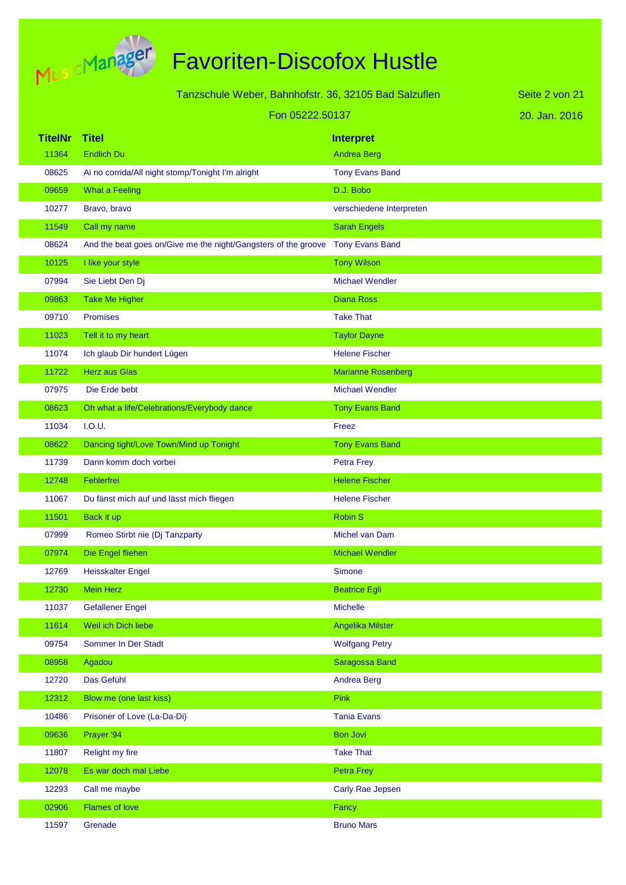

|                | Tanzschule Weber, Bahnhofstr. 36, 32105 Bad Salzuflen          |                           | Seite 2 von 21 |
|----------------|----------------------------------------------------------------|---------------------------|----------------|
|                | Fon 05222.50137                                                |                           | 20. Jan. 2016  |
| <b>TitelNr</b> | <b>Titel</b>                                                   | <b>Interpret</b>          |                |
| 11364          | <b>Endlich Du</b>                                              | <b>Andrea Berg</b>        |                |
| 08625          | Ai no corrida/All night stomp/Tonight I'm alright              | <b>Tony Evans Band</b>    |                |
| 09659          | <b>What a Feeling</b>                                          | D.J. Bobo                 |                |
| 10277          | Bravo, bravo                                                   | verschiedene Interpreten  |                |
| 11549          | Call my name                                                   | <b>Sarah Engels</b>       |                |
| 08624          | And the beat goes on/Give me the night/Gangsters of the groove | <b>Tony Evans Band</b>    |                |
| 10125          | I like your style                                              | <b>Tony Wilson</b>        |                |
| 07994          | Sie Liebt Den Dj                                               | <b>Michael Wendler</b>    |                |
| 09863          | <b>Take Me Higher</b>                                          | <b>Diana Ross</b>         |                |
| 09710          | Promises                                                       | <b>Take That</b>          |                |
| 11023          | Tell it to my heart                                            | <b>Taylor Dayne</b>       |                |
| 11074          | Ich glaub Dir hundert Lügen                                    | <b>Helene Fischer</b>     |                |
| 11722          | <b>Herz</b> aus Glas                                           | <b>Marianne Rosenberg</b> |                |
| 07975          | Die Erde bebt                                                  | <b>Michael Wendler</b>    |                |
| 08623          | Oh what a life/Celebrations/Everybody dance                    | <b>Tony Evans Band</b>    |                |
| 11034          | I.O.U.                                                         | Freez                     |                |
| 08622          | Dancing tight/Love Town/Mind up Tonight                        | <b>Tony Evans Band</b>    |                |
| 11739          | Dann komm doch vorbei                                          | <b>Petra Frey</b>         |                |
| 12748          | Fehlerfrei                                                     | <b>Helene Fischer</b>     |                |
| 11067          | Du fänst mich auf und lässt mich fliegen                       | <b>Helene Fischer</b>     |                |
| 11501          | Back it up                                                     | <b>Robin S</b>            |                |
| 07999          | Romeo Stirbt nie (Dj Tanzparty                                 | Michel van Dam            |                |
| 07974          | Die Engel fliehen                                              | <b>Michael Wendler</b>    |                |
| 12769          | <b>Heisskalter Engel</b>                                       | Simone                    |                |
| 12730          | <b>Mein Herz</b>                                               | <b>Beatrice Egli</b>      |                |
| 11037          | <b>Gefallener Engel</b>                                        | Michelle                  |                |
| 11614          | Weil ich Dich liebe                                            | Angelika Milster          |                |
| 09754          | Sommer In Der Stadt                                            | <b>Wolfgang Petry</b>     |                |
| 08958          | Agadou                                                         | Saragossa Band            |                |
| 12720          | Das Gefühl                                                     | <b>Andrea Berg</b>        |                |
| 12312          | Blow me (one last kiss)                                        | <b>Pink</b>               |                |
| 10486          | Prisoner of Love (La-Da-Di)                                    | <b>Tania Evans</b>        |                |
| 09636          | Prayer '94                                                     | <b>Bon Jovi</b>           |                |
| 11807          | Relight my fire                                                | <b>Take That</b>          |                |
| 12078          | Es war doch mal Liebe                                          | Petra Frey                |                |
| 12293          | Call me maybe                                                  | Carly Rae Jepsen          |                |
| 02906          | <b>Flames of love</b>                                          | Fancy                     |                |
| 11597          | Grenade                                                        | <b>Bruno Mars</b>         |                |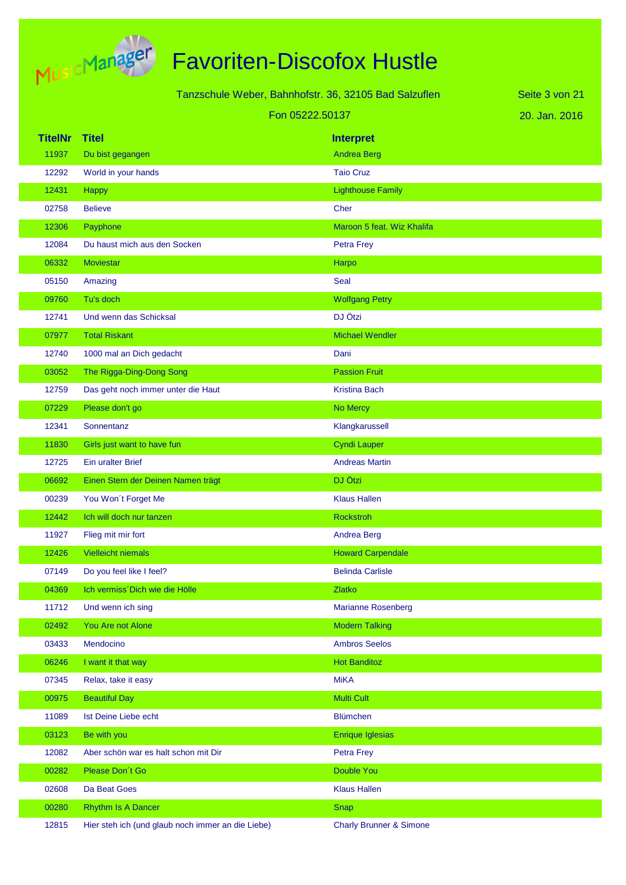

|                |                                                       |                                    | Seite 3 von 21 |
|----------------|-------------------------------------------------------|------------------------------------|----------------|
|                | Tanzschule Weber, Bahnhofstr. 36, 32105 Bad Salzuflen |                                    |                |
|                | Fon 05222.50137                                       |                                    | 20. Jan. 2016  |
| <b>TitelNr</b> | <b>Titel</b>                                          | <b>Interpret</b>                   |                |
| 11937          | Du bist gegangen                                      | <b>Andrea Berg</b>                 |                |
| 12292          | World in your hands                                   | <b>Taio Cruz</b>                   |                |
| 12431          | Happy                                                 | <b>Lighthouse Family</b>           |                |
| 02758          | <b>Believe</b>                                        | Cher                               |                |
| 12306          | Payphone                                              | Maroon 5 feat. Wiz Khalifa         |                |
| 12084          | Du haust mich aus den Socken                          | Petra Frey                         |                |
| 06332          | <b>Moviestar</b>                                      | Harpo                              |                |
| 05150          | Amazing                                               | Seal                               |                |
| 09760          | Tu's doch                                             | <b>Wolfgang Petry</b>              |                |
| 12741          | Und wenn das Schicksal                                | DJ Ötzi                            |                |
| 07977          | <b>Total Riskant</b>                                  | <b>Michael Wendler</b>             |                |
| 12740          | 1000 mal an Dich gedacht                              | Dani                               |                |
| 03052          | The Rigga-Ding-Dong Song                              | <b>Passion Fruit</b>               |                |
| 12759          | Das geht noch immer unter die Haut                    | <b>Kristina Bach</b>               |                |
| 07229          | Please don't go                                       | No Mercy                           |                |
| 12341          | Sonnentanz                                            | Klangkarussell                     |                |
| 11830          | Girls just want to have fun                           | <b>Cyndi Lauper</b>                |                |
| 12725          | <b>Ein uralter Brief</b>                              | <b>Andreas Martin</b>              |                |
| 06692          | Einen Stern der Deinen Namen trägt                    | DJ Ötzi                            |                |
| 00239          | You Won't Forget Me                                   | <b>Klaus Hallen</b>                |                |
| 12442          | Ich will doch nur tanzen                              | <b>Rockstroh</b>                   |                |
| 11927          | Flieg mit mir fort                                    | <b>Andrea Berg</b>                 |                |
| 12426          | Vielleicht niemals                                    | <b>Howard Carpendale</b>           |                |
| 07149          | Do you feel like I feel?                              | <b>Belinda Carlisle</b>            |                |
| 04369          | Ich vermiss Dich wie die Hölle                        | <b>Zlatko</b>                      |                |
| 11712          | Und wenn ich sing                                     | <b>Marianne Rosenberg</b>          |                |
| 02492          | You Are not Alone                                     | <b>Modern Talking</b>              |                |
| 03433          | Mendocino                                             | <b>Ambros Seelos</b>               |                |
| 06246          | I want it that way                                    | <b>Hot Banditoz</b>                |                |
| 07345          | Relax, take it easy                                   | <b>MiKA</b>                        |                |
| 00975          | <b>Beautiful Day</b>                                  | <b>Multi Cult</b>                  |                |
| 11089          | Ist Deine Liebe echt                                  | <b>Blümchen</b>                    |                |
| 03123          | Be with you                                           | <b>Enrique Iglesias</b>            |                |
| 12082          | Aber schön war es halt schon mit Dir                  | Petra Frey                         |                |
| 00282          | Please Don't Go                                       | Double You                         |                |
| 02608          | Da Beat Goes                                          | <b>Klaus Hallen</b>                |                |
| 00280          | Rhythm Is A Dancer                                    | Snap                               |                |
| 12815          | Hier steh ich (und glaub noch immer an die Liebe)     | <b>Charly Brunner &amp; Simone</b> |                |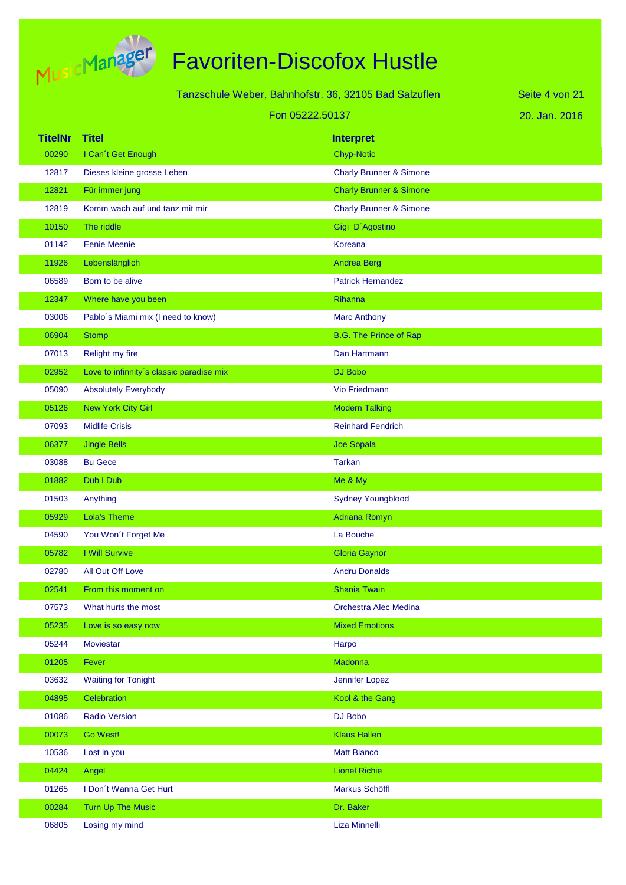

| Tanzschule Weber, Bahnhofstr. 36, 32105 Bad Salzuflen |                                          |                                    | Seite 4 von 21 |
|-------------------------------------------------------|------------------------------------------|------------------------------------|----------------|
|                                                       | Fon 05222.50137                          |                                    | 20. Jan. 2016  |
| <b>TitelNr</b>                                        | <b>Titel</b>                             | <b>Interpret</b>                   |                |
| 00290                                                 | I Can't Get Enough                       | <b>Chyp-Notic</b>                  |                |
| 12817                                                 | Dieses kleine grosse Leben               | <b>Charly Brunner &amp; Simone</b> |                |
| 12821                                                 | Für immer jung                           | <b>Charly Brunner &amp; Simone</b> |                |
| 12819                                                 | Komm wach auf und tanz mit mir           | <b>Charly Brunner &amp; Simone</b> |                |
| 10150                                                 | The riddle                               | Gigi D'Agostino                    |                |
| 01142                                                 | <b>Eenie Meenie</b>                      | Koreana                            |                |
| 11926                                                 | Lebenslänglich                           | Andrea Berg                        |                |
| 06589                                                 | Born to be alive                         | <b>Patrick Hernandez</b>           |                |
| 12347                                                 | Where have you been                      | Rihanna                            |                |
| 03006                                                 | Pablo's Miami mix (I need to know)       | <b>Marc Anthony</b>                |                |
| 06904                                                 | <b>Stomp</b>                             | <b>B.G. The Prince of Rap</b>      |                |
| 07013                                                 | Relight my fire                          | Dan Hartmann                       |                |
| 02952                                                 | Love to infinnity's classic paradise mix | DJ Bobo                            |                |
| 05090                                                 | <b>Absolutely Everybody</b>              | Vio Friedmann                      |                |
| 05126                                                 | <b>New York City Girl</b>                | <b>Modern Talking</b>              |                |
| 07093                                                 | <b>Midlife Crisis</b>                    | <b>Reinhard Fendrich</b>           |                |
| 06377                                                 | <b>Jingle Bells</b>                      | <b>Joe Sopala</b>                  |                |
| 03088                                                 | <b>Bu Gece</b>                           | <b>Tarkan</b>                      |                |
| 01882                                                 | Dub I Dub                                | Me & My                            |                |
| 01503                                                 | Anything                                 | <b>Sydney Youngblood</b>           |                |
| 05929                                                 | <b>Lola's Theme</b>                      | <b>Adriana Romyn</b>               |                |
| 04590                                                 | You Won't Forget Me                      | La Bouche                          |                |
| 05782                                                 | I Will Survive                           | <b>Gloria Gaynor</b>               |                |
| 02780                                                 | All Out Off Love                         | <b>Andru Donalds</b>               |                |
| 02541                                                 | From this moment on                      | <b>Shania Twain</b>                |                |
| 07573                                                 | What hurts the most                      | Orchestra Alec Medina              |                |
| 05235                                                 | Love is so easy now                      | <b>Mixed Emotions</b>              |                |
| 05244                                                 | <b>Moviestar</b>                         | Harpo                              |                |
| 01205                                                 | Fever                                    | Madonna                            |                |
| 03632                                                 | <b>Waiting for Tonight</b>               | Jennifer Lopez                     |                |
| 04895                                                 | Celebration                              | Kool & the Gang                    |                |
| 01086                                                 | <b>Radio Version</b>                     | DJ Bobo                            |                |
| 00073                                                 | Go West!                                 | <b>Klaus Hallen</b>                |                |
| 10536                                                 | Lost in you                              | <b>Matt Bianco</b>                 |                |
| 04424                                                 | Angel                                    | <b>Lionel Richie</b>               |                |
| 01265                                                 | I Don't Wanna Get Hurt                   | Markus Schöffl                     |                |
| 00284                                                 | Turn Up The Music                        | Dr. Baker                          |                |
| 06805                                                 | Losing my mind                           | Liza Minnelli                      |                |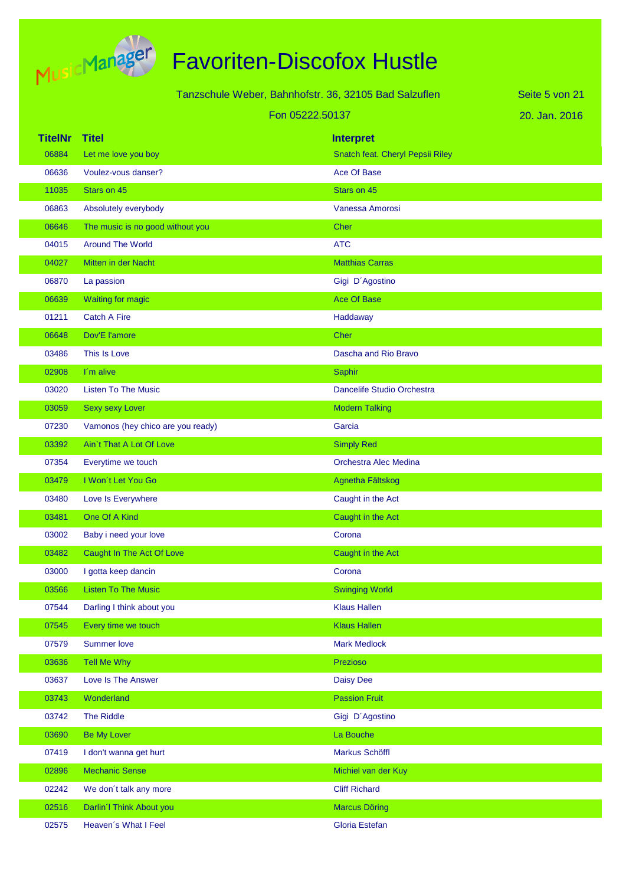

| Tanzschule Weber, Bahnhofstr. 36, 32105 Bad Salzuflen |                                   |                                  | Seite 5 von 21 |
|-------------------------------------------------------|-----------------------------------|----------------------------------|----------------|
|                                                       | Fon 05222.50137                   |                                  | 20. Jan. 2016  |
| <b>TitelNr</b>                                        | <b>Titel</b>                      | <b>Interpret</b>                 |                |
| 06884                                                 | Let me love you boy               | Snatch feat. Cheryl Pepsii Riley |                |
| 06636                                                 | Voulez-vous danser?               | <b>Ace Of Base</b>               |                |
| 11035                                                 | Stars on 45                       | Stars on 45                      |                |
| 06863                                                 | Absolutely everybody              | Vanessa Amorosi                  |                |
| 06646                                                 | The music is no good without you  | <b>Cher</b>                      |                |
| 04015                                                 | <b>Around The World</b>           | <b>ATC</b>                       |                |
| 04027                                                 | Mitten in der Nacht               | <b>Matthias Carras</b>           |                |
| 06870                                                 | La passion                        | Gigi D'Agostino                  |                |
| 06639                                                 | <b>Waiting for magic</b>          | <b>Ace Of Base</b>               |                |
| 01211                                                 | <b>Catch A Fire</b>               | Haddaway                         |                |
| 06648                                                 | Dov'E l'amore                     | Cher                             |                |
| 03486                                                 | This Is Love                      | Dascha and Rio Bravo             |                |
| 02908                                                 | I'm alive                         | Saphir                           |                |
| 03020                                                 | <b>Listen To The Music</b>        | Dancelife Studio Orchestra       |                |
| 03059                                                 | <b>Sexy sexy Lover</b>            | <b>Modern Talking</b>            |                |
| 07230                                                 | Vamonos (hey chico are you ready) | Garcia                           |                |
| 03392                                                 | Ain't That A Lot Of Love          | <b>Simply Red</b>                |                |
| 07354                                                 | Everytime we touch                | Orchestra Alec Medina            |                |
| 03479                                                 | I Won't Let You Go                | Agnetha Fältskog                 |                |
| 03480                                                 | Love Is Everywhere                | Caught in the Act                |                |
| 03481                                                 | One Of A Kind                     | Caught in the Act                |                |
| 03002                                                 | Baby i need your love             | Corona                           |                |
| 03482                                                 | Caught In The Act Of Love         | Caught in the Act                |                |
| 03000                                                 | I gotta keep dancin               | Corona                           |                |
| 03566                                                 | <b>Listen To The Music</b>        | <b>Swinging World</b>            |                |
| 07544                                                 | Darling I think about you         | <b>Klaus Hallen</b>              |                |
| 07545                                                 | Every time we touch               | <b>Klaus Hallen</b>              |                |
| 07579                                                 | <b>Summer love</b>                | <b>Mark Medlock</b>              |                |
| 03636                                                 | Tell Me Why                       | Prezioso                         |                |
| 03637                                                 | Love Is The Answer                | <b>Daisy Dee</b>                 |                |
| 03743                                                 | Wonderland                        | <b>Passion Fruit</b>             |                |
| 03742                                                 | The Riddle                        | Gigi D'Agostino                  |                |
| 03690                                                 | <b>Be My Lover</b>                | La Bouche                        |                |
| 07419                                                 | I don't wanna get hurt            | Markus Schöffl                   |                |
| 02896                                                 | <b>Mechanic Sense</b>             | Michiel van der Kuy              |                |
| 02242                                                 | We don't talk any more            | <b>Cliff Richard</b>             |                |
| 02516                                                 | Darlin'l Think About you          | <b>Marcus Döring</b>             |                |

02575 Heaven's What I Feel Gloria Estefan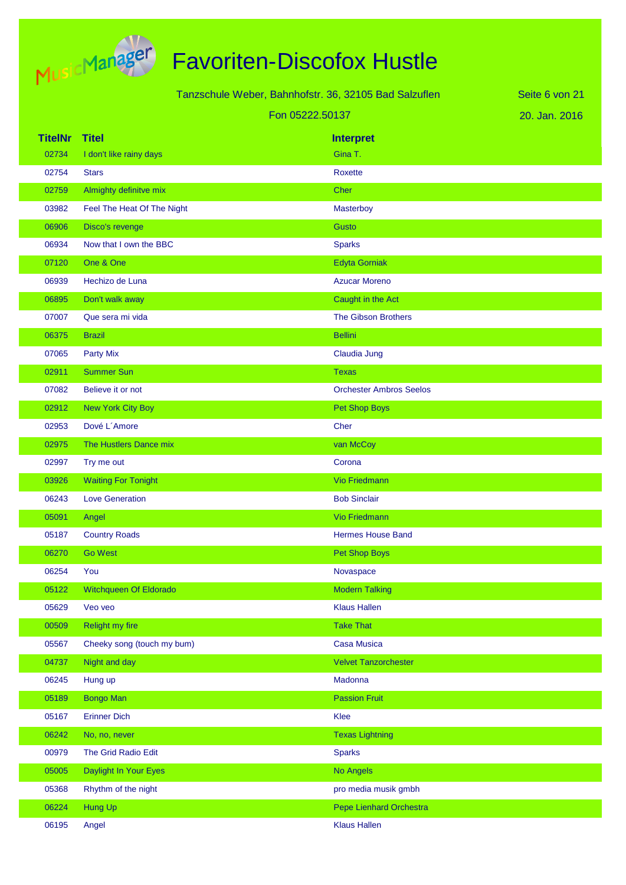

Tanzschule Weber, Bahnhofstr. 36, 32105 Bad Salzuflen Fon 05222.50137

20. Jan. 2016 Seite 6 von 21

| <b>TitelNr Titel</b> |                               | <b>Interpret</b>               |
|----------------------|-------------------------------|--------------------------------|
| 02734                | I don't like rainy days       | Gina T.                        |
| 02754                | <b>Stars</b>                  | Roxette                        |
| 02759                | Almighty definitve mix        | <b>Cher</b>                    |
| 03982                | Feel The Heat Of The Night    | Masterboy                      |
| 06906                | Disco's revenge               | <b>Gusto</b>                   |
| 06934                | Now that I own the BBC        | <b>Sparks</b>                  |
| 07120                | One & One                     | <b>Edyta Gorniak</b>           |
| 06939                | Hechizo de Luna               | <b>Azucar Moreno</b>           |
| 06895                | Don't walk away               | Caught in the Act              |
| 07007                | Que sera mi vida              | <b>The Gibson Brothers</b>     |
| 06375                | <b>Brazil</b>                 | <b>Bellini</b>                 |
| 07065                | <b>Party Mix</b>              | Claudia Jung                   |
| 02911                | <b>Summer Sun</b>             | <b>Texas</b>                   |
| 07082                | Believe it or not             | <b>Orchester Ambros Seelos</b> |
| 02912                | New York City Boy             | Pet Shop Boys                  |
| 02953                | Dové L'Amore                  | Cher                           |
| 02975                | The Hustlers Dance mix        | van McCoy                      |
| 02997                | Try me out                    | Corona                         |
| 03926                | <b>Waiting For Tonight</b>    | <b>Vio Friedmann</b>           |
| 06243                | <b>Love Generation</b>        | <b>Bob Sinclair</b>            |
| 05091                | Angel                         | <b>Vio Friedmann</b>           |
| 05187                | <b>Country Roads</b>          | <b>Hermes House Band</b>       |
| 06270                | <b>Go West</b>                | Pet Shop Boys                  |
| 06254                | You                           | Novaspace                      |
| 05122                | <b>Witchqueen Of Eldorado</b> | <b>Modern Talking</b>          |
| 05629                | Veo veo                       | <b>Klaus Hallen</b>            |
| 00509                | Relight my fire               | <b>Take That</b>               |
| 05567                | Cheeky song (touch my bum)    | <b>Casa Musica</b>             |
| 04737                | Night and day                 | <b>Velvet Tanzorchester</b>    |
| 06245                | Hung up                       | Madonna                        |
| 05189                | <b>Bongo Man</b>              | <b>Passion Fruit</b>           |
| 05167                | <b>Erinner Dich</b>           | Klee                           |
| 06242                | No, no, never                 | <b>Texas Lightning</b>         |
| 00979                | The Grid Radio Edit           | <b>Sparks</b>                  |
| 05005                | Daylight In Your Eyes         | <b>No Angels</b>               |
| 05368                | Rhythm of the night           | pro media musik gmbh           |
| 06224                | Hung Up                       | Pepe Lienhard Orchestra        |
| 06195                | Angel                         | <b>Klaus Hallen</b>            |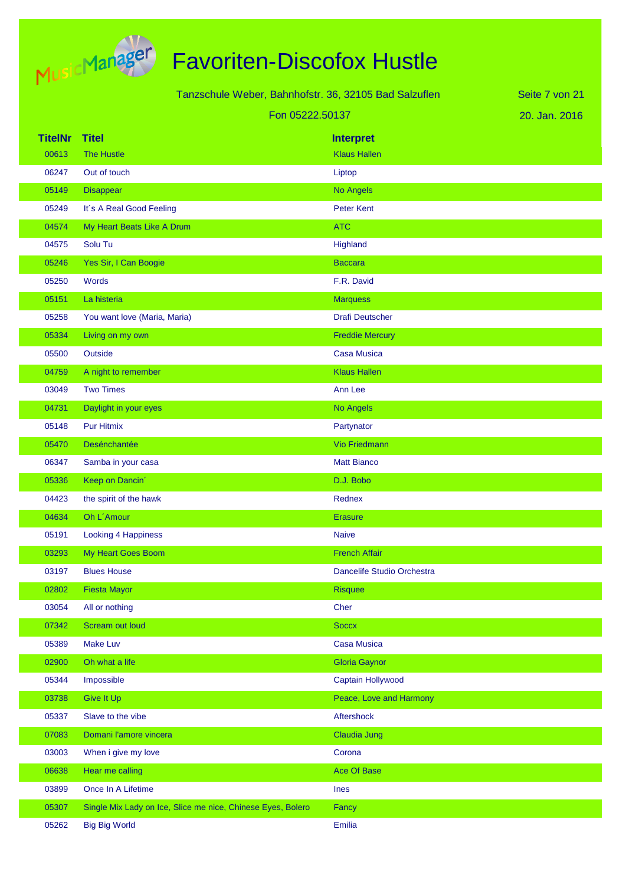

|                | Tanzschule Weber, Bahnhofstr. 36, 32105 Bad Salzuflen       |                            | Seite 7 von 21 |
|----------------|-------------------------------------------------------------|----------------------------|----------------|
|                | Fon 05222.50137                                             |                            | 20. Jan. 2016  |
| <b>TitelNr</b> | <b>Titel</b>                                                | <b>Interpret</b>           |                |
| 00613          | <b>The Hustle</b>                                           | <b>Klaus Hallen</b>        |                |
| 06247          | Out of touch                                                | Liptop                     |                |
| 05149          | Disappear                                                   | No Angels                  |                |
| 05249          | It's A Real Good Feeling                                    | <b>Peter Kent</b>          |                |
| 04574          | My Heart Beats Like A Drum                                  | <b>ATC</b>                 |                |
| 04575          | Solu Tu                                                     | Highland                   |                |
| 05246          | Yes Sir, I Can Boogie                                       | <b>Baccara</b>             |                |
| 05250          | Words                                                       | F.R. David                 |                |
| 05151          | La histeria                                                 | <b>Marquess</b>            |                |
| 05258          | You want love (Maria, Maria)                                | <b>Drafi Deutscher</b>     |                |
| 05334          | Living on my own                                            | <b>Freddie Mercury</b>     |                |
| 05500          | Outside                                                     | Casa Musica                |                |
| 04759          | A night to remember                                         | <b>Klaus Hallen</b>        |                |
| 03049          | <b>Two Times</b>                                            | Ann Lee                    |                |
| 04731          | Daylight in your eyes                                       | No Angels                  |                |
| 05148          | <b>Pur Hitmix</b>                                           | Partynator                 |                |
| 05470          | Desénchantée                                                | <b>Vio Friedmann</b>       |                |
| 06347          | Samba in your casa                                          | <b>Matt Bianco</b>         |                |
| 05336          | Keep on Dancin'                                             | D.J. Bobo                  |                |
| 04423          | the spirit of the hawk                                      | Rednex                     |                |
| 04634          | Oh L'Amour                                                  | <b>Erasure</b>             |                |
| 05191          | <b>Looking 4 Happiness</b>                                  | <b>Naive</b>               |                |
| 03293          | My Heart Goes Boom                                          | <b>French Affair</b>       |                |
| 03197          | <b>Blues House</b>                                          | Dancelife Studio Orchestra |                |
| 02802          | <b>Fiesta Mayor</b>                                         | <b>Risquee</b>             |                |
| 03054          | All or nothing                                              | Cher                       |                |
| 07342          | Scream out loud                                             | <b>Soccx</b>               |                |
| 05389          | <b>Make Luv</b>                                             | Casa Musica                |                |
| 02900          | Oh what a life                                              | <b>Gloria Gaynor</b>       |                |
| 05344          | Impossible                                                  | Captain Hollywood          |                |
| 03738          | Give It Up                                                  | Peace, Love and Harmony    |                |
| 05337          | Slave to the vibe                                           | Aftershock                 |                |
| 07083          | Domani l'amore vincera                                      | <b>Claudia Jung</b>        |                |
| 03003          | When i give my love                                         | Corona                     |                |
| 06638          | Hear me calling                                             | <b>Ace Of Base</b>         |                |
| 03899          | Once In A Lifetime                                          | Ines                       |                |
| 05307          | Single Mix Lady on Ice, Slice me nice, Chinese Eyes, Bolero | Fancy                      |                |
| 05262          | <b>Big Big World</b>                                        | Emilia                     |                |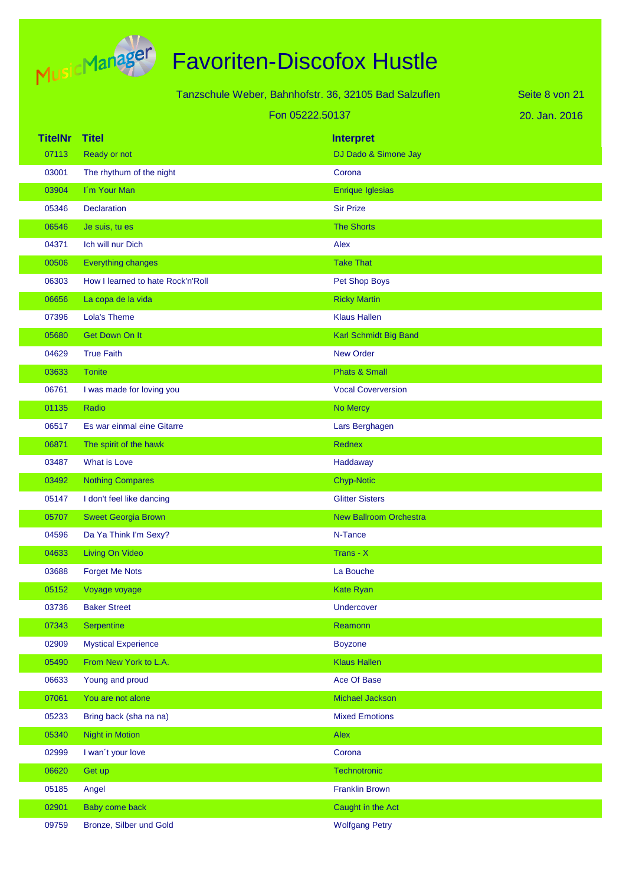

| Tanzschule Weber, Bahnhofstr. 36, 32105 Bad Salzuflen |                                   |                               | Seite 8 von 21 |
|-------------------------------------------------------|-----------------------------------|-------------------------------|----------------|
|                                                       | Fon 05222.50137                   |                               | 20. Jan. 2016  |
| <b>TitelNr</b>                                        | <b>Titel</b>                      | <b>Interpret</b>              |                |
| 07113                                                 | Ready or not                      | DJ Dado & Simone Jay          |                |
| 03001                                                 | The rhythum of the night          | Corona                        |                |
| 03904                                                 | I'm Your Man                      | Enrique Iglesias              |                |
| 05346                                                 | <b>Declaration</b>                | <b>Sir Prize</b>              |                |
| 06546                                                 | Je suis, tu es                    | <b>The Shorts</b>             |                |
| 04371                                                 | Ich will nur Dich                 | Alex                          |                |
| 00506                                                 | Everything changes                | <b>Take That</b>              |                |
| 06303                                                 | How I learned to hate Rock'n'Roll | Pet Shop Boys                 |                |
| 06656                                                 | La copa de la vida                | <b>Ricky Martin</b>           |                |
| 07396                                                 | Lola's Theme                      | <b>Klaus Hallen</b>           |                |
| 05680                                                 | <b>Get Down On It</b>             | Karl Schmidt Big Band         |                |
| 04629                                                 | <b>True Faith</b>                 | <b>New Order</b>              |                |
| 03633                                                 | <b>Tonite</b>                     | <b>Phats &amp; Small</b>      |                |
| 06761                                                 | I was made for loving you         | <b>Vocal Coverversion</b>     |                |
| 01135                                                 | Radio                             | No Mercy                      |                |
| 06517                                                 | Es war einmal eine Gitarre        | Lars Berghagen                |                |
| 06871                                                 | The spirit of the hawk            | <b>Rednex</b>                 |                |
| 03487                                                 | What is Love                      | Haddaway                      |                |
| 03492                                                 | <b>Nothing Compares</b>           | <b>Chyp-Notic</b>             |                |
| 05147                                                 | I don't feel like dancing         | <b>Glitter Sisters</b>        |                |
| 05707                                                 | <b>Sweet Georgia Brown</b>        | <b>New Ballroom Orchestra</b> |                |
| 04596                                                 | Da Ya Think I'm Sexy?             | N-Tance                       |                |
| 04633                                                 | <b>Living On Video</b>            | Trans - X                     |                |
| 03688                                                 | <b>Forget Me Nots</b>             | La Bouche                     |                |
| 05152                                                 | Voyage voyage                     | Kate Ryan                     |                |
| 03736                                                 | <b>Baker Street</b>               | Undercover                    |                |
| 07343                                                 | Serpentine                        | Reamonn                       |                |
| 02909                                                 | <b>Mystical Experience</b>        | <b>Boyzone</b>                |                |
| 05490                                                 | From New York to L.A.             | <b>Klaus Hallen</b>           |                |
| 06633                                                 | Young and proud                   | Ace Of Base                   |                |
| 07061                                                 | You are not alone                 | <b>Michael Jackson</b>        |                |
| 05233                                                 | Bring back (sha na na)            | <b>Mixed Emotions</b>         |                |
| 05340                                                 | Night in Motion                   | Alex                          |                |
| 02999                                                 | I wan't your love                 | Corona                        |                |
| 06620                                                 | Get up                            | Technotronic                  |                |
| 05185                                                 | Angel                             | <b>Franklin Brown</b>         |                |
| 02901                                                 | Baby come back                    | Caught in the Act             |                |
| 09759                                                 | Bronze, Silber und Gold           | <b>Wolfgang Petry</b>         |                |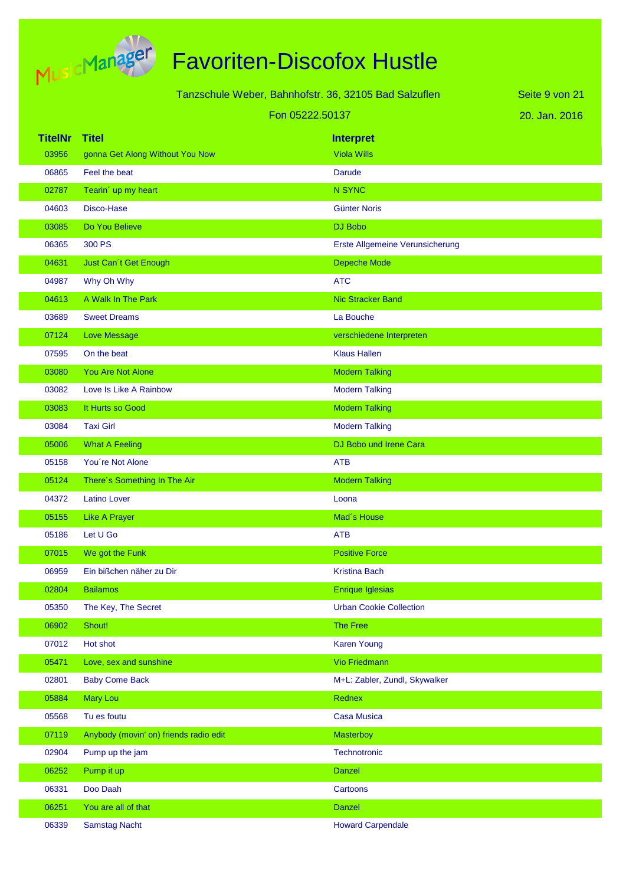

# Favoriten-Discofox Hustle

| Tanzschule Weber, Bahnhofstr. 36, 32105 Bad Salzuflen |                                        |                                 | Seite 9 von 21 |
|-------------------------------------------------------|----------------------------------------|---------------------------------|----------------|
|                                                       | Fon 05222.50137                        |                                 | 20. Jan. 2016  |
| <b>TitelNr</b>                                        | <b>Titel</b>                           | <b>Interpret</b>                |                |
| 03956                                                 | gonna Get Along Without You Now        | <b>Viola Wills</b>              |                |
| 06865                                                 | Feel the beat                          | <b>Darude</b>                   |                |
| 02787                                                 | Tearin' up my heart                    | <b>N SYNC</b>                   |                |
| 04603                                                 | Disco-Hase                             | <b>Günter Noris</b>             |                |
| 03085                                                 | Do You Believe                         | DJ Bobo                         |                |
| 06365                                                 | 300 PS                                 | Erste Allgemeine Verunsicherung |                |
| 04631                                                 | Just Can't Get Enough                  | Depeche Mode                    |                |
| 04987                                                 | Why Oh Why                             | <b>ATC</b>                      |                |
| 04613                                                 | A Walk In The Park                     | <b>Nic Stracker Band</b>        |                |
| 03689                                                 | <b>Sweet Dreams</b>                    | La Bouche                       |                |
| 07124                                                 | <b>Love Message</b>                    | verschiedene Interpreten        |                |
| 07595                                                 | On the beat                            | <b>Klaus Hallen</b>             |                |
| 03080                                                 | <b>You Are Not Alone</b>               | <b>Modern Talking</b>           |                |
| 03082                                                 | Love Is Like A Rainbow                 | <b>Modern Talking</b>           |                |
| 03083                                                 | It Hurts so Good                       | <b>Modern Talking</b>           |                |
| 03084                                                 | <b>Taxi Girl</b>                       | <b>Modern Talking</b>           |                |
| 05006                                                 | <b>What A Feeling</b>                  | DJ Bobo und Irene Cara          |                |
| 05158                                                 | You're Not Alone                       | <b>ATB</b>                      |                |
| 05124                                                 | There's Something In The Air           | <b>Modern Talking</b>           |                |
| 04372                                                 | <b>Latino Lover</b>                    | Loona                           |                |
| 05155                                                 | <b>Like A Prayer</b>                   | Mad's House                     |                |
| 05186                                                 | Let U Go                               | <b>ATB</b>                      |                |
| 07015                                                 | We got the Funk                        | <b>Positive Force</b>           |                |
| 06959                                                 | Ein bißchen näher zu Dir               | <b>Kristina Bach</b>            |                |
| 02804                                                 | <b>Bailamos</b>                        | <b>Enrique Iglesias</b>         |                |
| 05350                                                 | The Key, The Secret                    | <b>Urban Cookie Collection</b>  |                |
| 06902                                                 | Shout!                                 | The Free                        |                |
| 07012                                                 | Hot shot                               | <b>Karen Young</b>              |                |
| 05471                                                 | Love, sex and sunshine                 | Vio Friedmann                   |                |
| 02801                                                 | <b>Baby Come Back</b>                  | M+L: Zabler, Zundl, Skywalker   |                |
| 05884                                                 | <b>Mary Lou</b>                        | Rednex                          |                |
| 05568                                                 | Tu es foutu                            | <b>Casa Musica</b>              |                |
| 07119                                                 | Anybody (movin' on) friends radio edit | Masterboy                       |                |
| 02904                                                 | Pump up the jam                        | Technotronic                    |                |
| 06252                                                 | Pump it up                             | <b>Danzel</b>                   |                |
| 06331                                                 | Doo Daah                               | Cartoons                        |                |
| 06251                                                 | You are all of that                    | <b>Danzel</b>                   |                |

06339 Samstag Nacht Howard Carpendale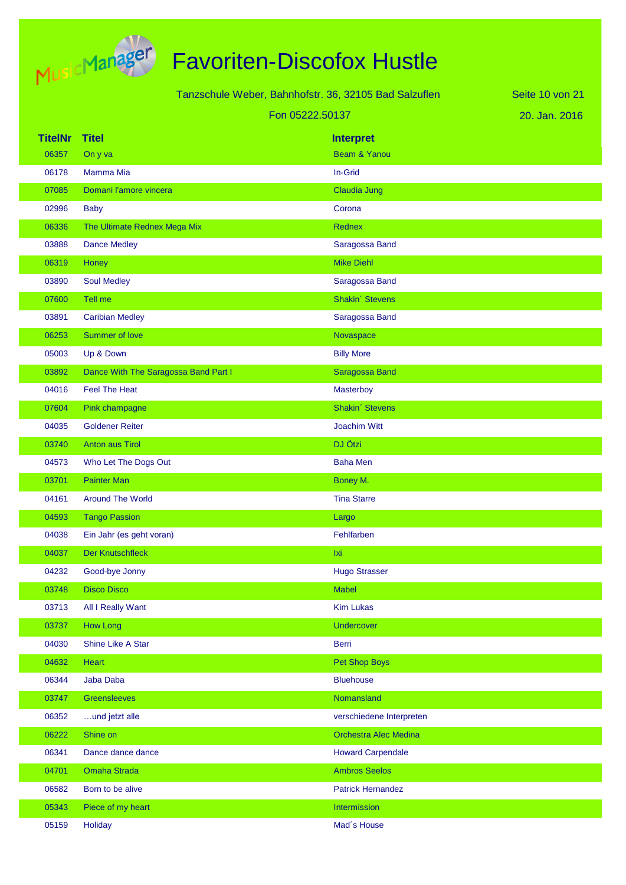

Tanzschule Weber, Bahnhofstr. 36, 32105 Bad Salzuflen

Fon 05222.50137

20. Jan. 2016 Seite 10 von 21

| <b>TitelNr</b> | <b>Titel</b>                         | <b>Interpret</b>             |
|----------------|--------------------------------------|------------------------------|
| 06357          | On y va                              | Beam & Yanou                 |
| 06178          | Mamma Mia                            | In-Grid                      |
| 07085          | Domani l'amore vincera               | Claudia Jung                 |
| 02996          | <b>Baby</b>                          | Corona                       |
| 06336          | The Ultimate Rednex Mega Mix         | <b>Rednex</b>                |
| 03888          | <b>Dance Medley</b>                  | Saragossa Band               |
| 06319          | Honey                                | <b>Mike Diehl</b>            |
| 03890          | <b>Soul Medley</b>                   | Saragossa Band               |
| 07600          | Tell me                              | Shakin' Stevens              |
| 03891          | <b>Caribian Medley</b>               | Saragossa Band               |
| 06253          | Summer of love                       | Novaspace                    |
| 05003          | Up & Down                            | <b>Billy More</b>            |
| 03892          | Dance With The Saragossa Band Part I | <b>Saragossa Band</b>        |
| 04016          | <b>Feel The Heat</b>                 | Masterboy                    |
| 07604          | Pink champagne                       | Shakin' Stevens              |
| 04035          | <b>Goldener Reiter</b>               | Joachim Witt                 |
| 03740          | Anton aus Tirol                      | DJ Ötzi                      |
| 04573          | Who Let The Dogs Out                 | <b>Baha Men</b>              |
| 03701          | <b>Painter Man</b>                   | Boney M.                     |
| 04161          | <b>Around The World</b>              | <b>Tina Starre</b>           |
| 04593          | <b>Tango Passion</b>                 | Largo                        |
| 04038          | Ein Jahr (es geht voran)             | Fehlfarben                   |
| 04037          | <b>Der Knutschfleck</b>              | Ixi                          |
| 04232          | Good-bye Jonny                       | <b>Hugo Strasser</b>         |
| 03748          | <b>Disco Disco</b>                   | <b>Mabel</b>                 |
| 03713          | All I Really Want                    | <b>Kim Lukas</b>             |
| 03737          | How Long                             | <b>Undercover</b>            |
| 04030          | Shine Like A Star                    | Berri                        |
| 04632          | Heart                                | Pet Shop Boys                |
| 06344          | Jaba Daba                            | <b>Bluehouse</b>             |
| 03747          | Greensleeves                         | Nomansland                   |
| 06352          | und jetzt alle                       | verschiedene Interpreten     |
| 06222          | Shine on                             | <b>Orchestra Alec Medina</b> |
| 06341          | Dance dance dance                    | <b>Howard Carpendale</b>     |
| 04701          | Omaha Strada                         | <b>Ambros Seelos</b>         |
| 06582          | Born to be alive                     | <b>Patrick Hernandez</b>     |
| 05343          | Piece of my heart                    | Intermission                 |
| 05159          | Holiday                              | Mad's House                  |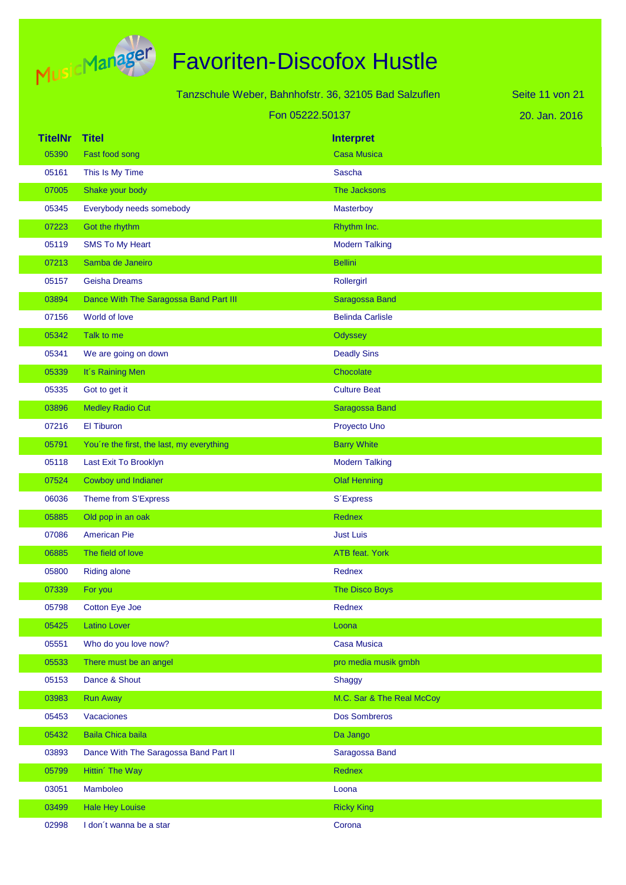

Tanzschule Weber, Bahnhofstr. 36, 32105 Bad Salzuflen

Fon 05222.50137

20. Jan. 2016 Seite 11 von 21

| <b>TitelNr</b> | <b>Titel</b>                              | <b>Interpret</b>          |
|----------------|-------------------------------------------|---------------------------|
| 05390          | Fast food song                            | <b>Casa Musica</b>        |
| 05161          | This Is My Time                           | Sascha                    |
| 07005          | Shake your body                           | The Jacksons              |
| 05345          | Everybody needs somebody                  | Masterboy                 |
| 07223          | Got the rhythm                            | Rhythm Inc.               |
| 05119          | <b>SMS To My Heart</b>                    | <b>Modern Talking</b>     |
| 07213          | Samba de Janeiro                          | <b>Bellini</b>            |
| 05157          | <b>Geisha Dreams</b>                      | Rollergirl                |
| 03894          | Dance With The Saragossa Band Part III    | Saragossa Band            |
| 07156          | World of love                             | <b>Belinda Carlisle</b>   |
| 05342          | Talk to me                                | <b>Odyssey</b>            |
| 05341          | We are going on down                      | <b>Deadly Sins</b>        |
| 05339          | It's Raining Men                          | Chocolate                 |
| 05335          | Got to get it                             | <b>Culture Beat</b>       |
| 03896          | <b>Medley Radio Cut</b>                   | Saragossa Band            |
| 07216          | El Tiburon                                | Proyecto Uno              |
| 05791          | You're the first, the last, my everything | <b>Barry White</b>        |
| 05118          | Last Exit To Brooklyn                     | <b>Modern Talking</b>     |
| 07524          | Cowboy und Indianer                       | <b>Olaf Henning</b>       |
| 06036          | Theme from S'Express                      | S'Express                 |
| 05885          | Old pop in an oak                         | Rednex                    |
| 07086          | <b>American Pie</b>                       | <b>Just Luis</b>          |
| 06885          | The field of love                         | <b>ATB</b> feat. York     |
| 05800          | <b>Riding alone</b>                       | Rednex                    |
| 07339          | For you                                   | <b>The Disco Boys</b>     |
| 05798          | Cotton Eye Joe                            | Rednex                    |
| 05425          | <b>Latino Lover</b>                       | Loona                     |
| 05551          | Who do you love now?                      | <b>Casa Musica</b>        |
| 05533          | There must be an angel                    | pro media musik gmbh      |
| 05153          | Dance & Shout                             | Shaggy                    |
| 03983          | <b>Run Away</b>                           | M.C. Sar & The Real McCoy |
| 05453          | Vacaciones                                | Dos Sombreros             |
| 05432          | <b>Baila Chica baila</b>                  | Da Jango                  |
| 03893          | Dance With The Saragossa Band Part II     | Saragossa Band            |
| 05799          | Hittin' The Way                           | Rednex                    |
| 03051          | Mamboleo                                  | Loona                     |
| 03499          | <b>Hale Hey Louise</b>                    | <b>Ricky King</b>         |
| 02998          | I don't wanna be a star                   | Corona                    |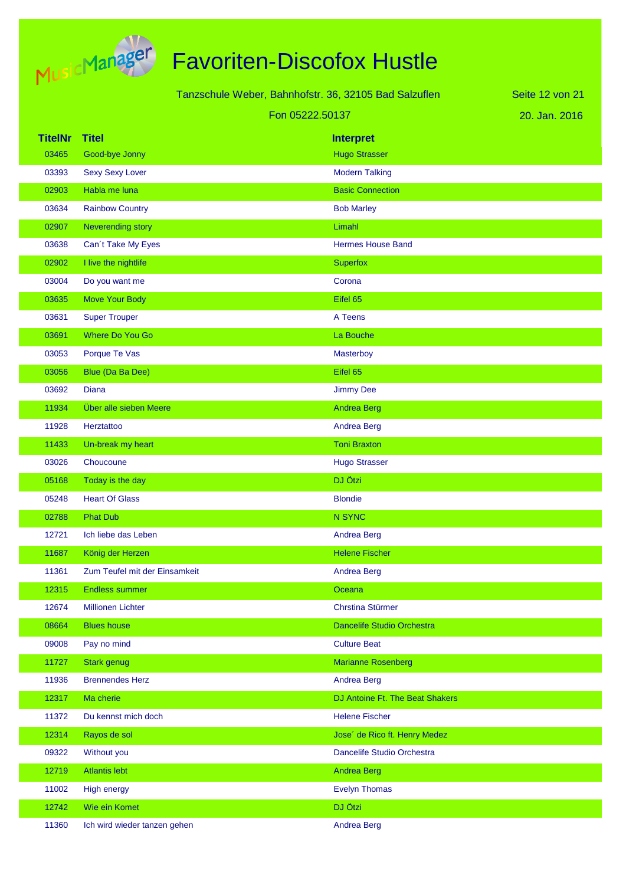

|                |                               | Tanzschule Weber, Bahnhofstr. 36, 32105 Bad Salzuflen |                                 | Seite 12 von 21 |
|----------------|-------------------------------|-------------------------------------------------------|---------------------------------|-----------------|
|                | Fon 05222.50137               |                                                       |                                 | 20. Jan. 2016   |
| <b>TitelNr</b> | <b>Titel</b>                  |                                                       | <b>Interpret</b>                |                 |
| 03465          | Good-bye Jonny                |                                                       | <b>Hugo Strasser</b>            |                 |
| 03393          | <b>Sexy Sexy Lover</b>        |                                                       | <b>Modern Talking</b>           |                 |
| 02903          | Habla me luna                 |                                                       | <b>Basic Connection</b>         |                 |
| 03634          | <b>Rainbow Country</b>        |                                                       | <b>Bob Marley</b>               |                 |
| 02907          | Neverending story             |                                                       | Limahl                          |                 |
| 03638          | Can't Take My Eyes            |                                                       | <b>Hermes House Band</b>        |                 |
| 02902          | I live the nightlife          |                                                       | <b>Superfox</b>                 |                 |
| 03004          | Do you want me                |                                                       | Corona                          |                 |
| 03635          | Move Your Body                |                                                       | Eifel 65                        |                 |
| 03631          | <b>Super Trouper</b>          |                                                       | A Teens                         |                 |
| 03691          | <b>Where Do You Go</b>        |                                                       | La Bouche                       |                 |
| 03053          | Porque Te Vas                 |                                                       | Masterboy                       |                 |
| 03056          | Blue (Da Ba Dee)              |                                                       | Eifel 65                        |                 |
| 03692          | Diana                         |                                                       | <b>Jimmy Dee</b>                |                 |
| 11934          | Über alle sieben Meere        |                                                       | <b>Andrea Berg</b>              |                 |
| 11928          | Herztattoo                    |                                                       | Andrea Berg                     |                 |
| 11433          | Un-break my heart             |                                                       | <b>Toni Braxton</b>             |                 |
| 03026          | Choucoune                     |                                                       | <b>Hugo Strasser</b>            |                 |
| 05168          | Today is the day              |                                                       | DJ Ötzi                         |                 |
| 05248          | <b>Heart Of Glass</b>         |                                                       | <b>Blondie</b>                  |                 |
| 02788          | <b>Phat Dub</b>               |                                                       | N SYNC                          |                 |
| 12721          | Ich liebe das Leben           |                                                       | <b>Andrea Berg</b>              |                 |
| 11687          | König der Herzen              |                                                       | <b>Helene Fischer</b>           |                 |
| 11361          | Zum Teufel mit der Einsamkeit |                                                       | <b>Andrea Berg</b>              |                 |
| 12315          | <b>Endless summer</b>         |                                                       | Oceana                          |                 |
| 12674          | <b>Millionen Lichter</b>      |                                                       | Chrstina Stürmer                |                 |
| 08664          | <b>Blues house</b>            |                                                       | Dancelife Studio Orchestra      |                 |
| 09008          | Pay no mind                   |                                                       | <b>Culture Beat</b>             |                 |
| 11727          | Stark genug                   |                                                       | <b>Marianne Rosenberg</b>       |                 |
| 11936          | <b>Brennendes Herz</b>        |                                                       | <b>Andrea Berg</b>              |                 |
| 12317          | Ma cherie                     |                                                       | DJ Antoine Ft. The Beat Shakers |                 |
| 11372          | Du kennst mich doch           |                                                       | <b>Helene Fischer</b>           |                 |
| 12314          | Rayos de sol                  |                                                       | Jose' de Rico ft. Henry Medez   |                 |
| 09322          | Without you                   |                                                       | Dancelife Studio Orchestra      |                 |
| 12719          | <b>Atlantis lebt</b>          |                                                       | <b>Andrea Berg</b>              |                 |
| 11002          | <b>High energy</b>            |                                                       | <b>Evelyn Thomas</b>            |                 |
| 12742          | Wie ein Komet                 |                                                       | DJ Ötzi                         |                 |

11360 Ich wird wieder tanzen gehen Andrea Berg Andrea Berg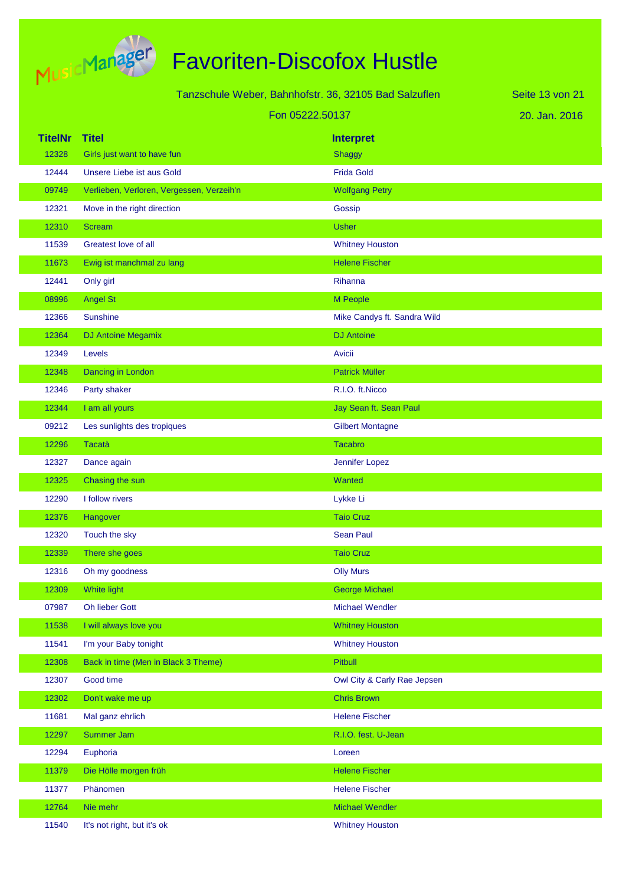

Tanzschule Weber, Bahnhofstr. 36, 32105 Bad Salzuflen Fon 05222.50137

20. Jan. 2016 Seite 13 von 21

| <b>TitelNr</b> | <b>Titel</b>                              | <b>Interpret</b>            |
|----------------|-------------------------------------------|-----------------------------|
| 12328          | Girls just want to have fun               | <b>Shaggy</b>               |
| 12444          | Unsere Liebe ist aus Gold                 | <b>Frida Gold</b>           |
| 09749          | Verlieben, Verloren, Vergessen, Verzeih'n | <b>Wolfgang Petry</b>       |
| 12321          | Move in the right direction               | Gossip                      |
| 12310          | <b>Scream</b>                             | <b>Usher</b>                |
| 11539          | Greatest love of all                      | <b>Whitney Houston</b>      |
| 11673          | Ewig ist manchmal zu lang                 | <b>Helene Fischer</b>       |
| 12441          | Only girl                                 | Rihanna                     |
| 08996          | <b>Angel St</b>                           | M People                    |
| 12366          | <b>Sunshine</b>                           | Mike Candys ft. Sandra Wild |
| 12364          | DJ Antoine Megamix                        | <b>DJ</b> Antoine           |
| 12349          | Levels                                    | Avicii                      |
| 12348          | Dancing in London                         | <b>Patrick Müller</b>       |
| 12346          | Party shaker                              | R.I.O. ft.Nicco             |
| 12344          | I am all yours                            | Jay Sean ft. Sean Paul      |
| 09212          | Les sunlights des tropiques               | <b>Gilbert Montagne</b>     |
| 12296          | <b>Tacatà</b>                             | <b>Tacabro</b>              |
| 12327          | Dance again                               | Jennifer Lopez              |
| 12325          | Chasing the sun                           | Wanted                      |
| 12290          | I follow rivers                           | Lykke Li                    |
| 12376          | Hangover                                  | <b>Taio Cruz</b>            |
| 12320          | Touch the sky                             | <b>Sean Paul</b>            |
| 12339          | There she goes                            | <b>Taio Cruz</b>            |
| 12316          | Oh my goodness                            | <b>Olly Murs</b>            |
| 12309          | <b>White light</b>                        | <b>George Michael</b>       |
| 07987          | Oh lieber Gott                            | <b>Michael Wendler</b>      |
| 11538          | I will always love you                    | <b>Whitney Houston</b>      |
| 11541          | I'm your Baby tonight                     | <b>Whitney Houston</b>      |
| 12308          | Back in time (Men in Black 3 Theme)       | <b>Pitbull</b>              |
| 12307          | Good time                                 | Owl City & Carly Rae Jepsen |
| 12302          | Don't wake me up                          | <b>Chris Brown</b>          |
| 11681          | Mal ganz ehrlich                          | <b>Helene Fischer</b>       |
| 12297          | Summer Jam                                | R.I.O. fest. U-Jean         |
| 12294          | Euphoria                                  | Loreen                      |
| 11379          | Die Hölle morgen früh                     | <b>Helene Fischer</b>       |
| 11377          | Phänomen                                  | <b>Helene Fischer</b>       |
| 12764          | Nie mehr                                  | <b>Michael Wendler</b>      |
| 11540          | It's not right, but it's ok               | <b>Whitney Houston</b>      |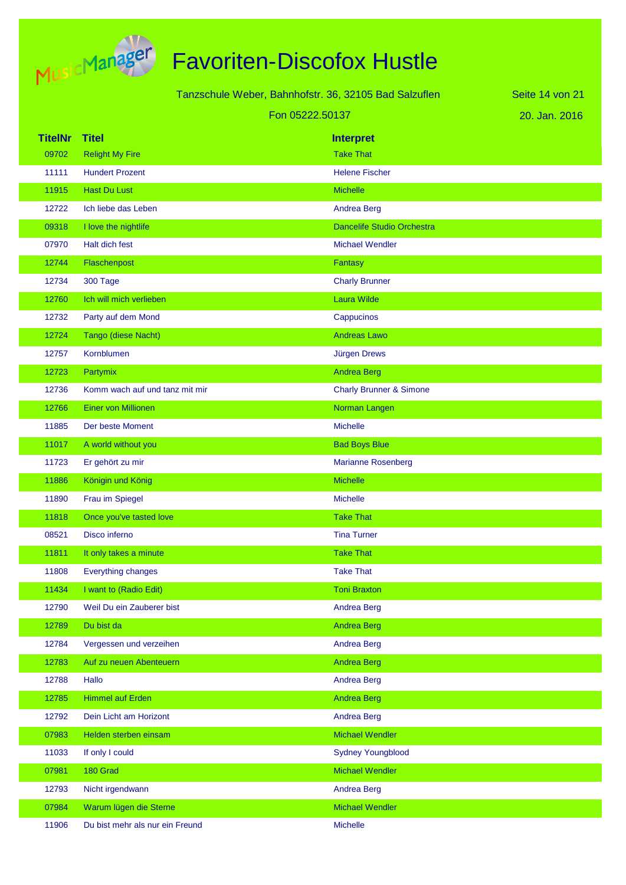

|                | Tanzschule Weber, Bahnhofstr. 36, 32105 Bad Salzuflen |                                    | Seite 14 von 21 |
|----------------|-------------------------------------------------------|------------------------------------|-----------------|
|                | Fon 05222.50137                                       |                                    | 20. Jan. 2016   |
| <b>TitelNr</b> | <b>Titel</b>                                          | <b>Interpret</b>                   |                 |
| 09702          | <b>Relight My Fire</b>                                | <b>Take That</b>                   |                 |
| 11111          | <b>Hundert Prozent</b>                                | <b>Helene Fischer</b>              |                 |
| 11915          | <b>Hast Du Lust</b>                                   | <b>Michelle</b>                    |                 |
| 12722          | Ich liebe das Leben                                   | <b>Andrea Berg</b>                 |                 |
| 09318          | I love the nightlife                                  | Dancelife Studio Orchestra         |                 |
| 07970          | Halt dich fest                                        | <b>Michael Wendler</b>             |                 |
| 12744          | Flaschenpost                                          | Fantasy                            |                 |
| 12734          | 300 Tage                                              | <b>Charly Brunner</b>              |                 |
| 12760          | Ich will mich verlieben                               | <b>Laura Wilde</b>                 |                 |
| 12732          | Party auf dem Mond                                    | Cappucinos                         |                 |
| 12724          | Tango (diese Nacht)                                   | <b>Andreas Lawo</b>                |                 |
| 12757          | Kornblumen                                            | Jürgen Drews                       |                 |
| 12723          | Partymix                                              | <b>Andrea Berg</b>                 |                 |
| 12736          | Komm wach auf und tanz mit mir                        | <b>Charly Brunner &amp; Simone</b> |                 |
| 12766          | <b>Einer von Millionen</b>                            | Norman Langen                      |                 |
| 11885          | Der beste Moment                                      | <b>Michelle</b>                    |                 |
| 11017          | A world without you                                   | <b>Bad Boys Blue</b>               |                 |
| 11723          | Er gehört zu mir                                      | <b>Marianne Rosenberg</b>          |                 |
| 11886          | Königin und König                                     | <b>Michelle</b>                    |                 |
| 11890          | Frau im Spiegel                                       | <b>Michelle</b>                    |                 |
| 11818          | Once you've tasted love                               | <b>Take That</b>                   |                 |
| 08521          | Disco inferno                                         | <b>Tina Turner</b>                 |                 |
| 11811          | It only takes a minute                                | <b>Take That</b>                   |                 |
| 11808          | <b>Everything changes</b>                             | <b>Take That</b>                   |                 |
| 11434          | I want to (Radio Edit)                                | <b>Toni Braxton</b>                |                 |
| 12790          | Weil Du ein Zauberer bist                             | <b>Andrea Berg</b>                 |                 |
| 12789          | Du bist da                                            | <b>Andrea Berg</b>                 |                 |
| 12784          | Vergessen und verzeihen                               | <b>Andrea Berg</b>                 |                 |
| 12783          | Auf zu neuen Abenteuern                               | <b>Andrea Berg</b>                 |                 |
| 12788          | Hallo                                                 | <b>Andrea Berg</b>                 |                 |
| 12785          | <b>Himmel auf Erden</b>                               | <b>Andrea Berg</b>                 |                 |
| 12792          | Dein Licht am Horizont                                | Andrea Berg                        |                 |
| 07983          | Helden sterben einsam                                 | Michael Wendler                    |                 |
| 11033          | If only I could                                       | <b>Sydney Youngblood</b>           |                 |
| 07981          | 180 Grad                                              | Michael Wendler                    |                 |
| 12793          | Nicht irgendwann                                      | Andrea Berg                        |                 |

- 07984 Warum lügen die Sterne Michael Wendler Michael Wendler
- 11906 Du bist mehr als nur ein Freund and Michelle Michelle
-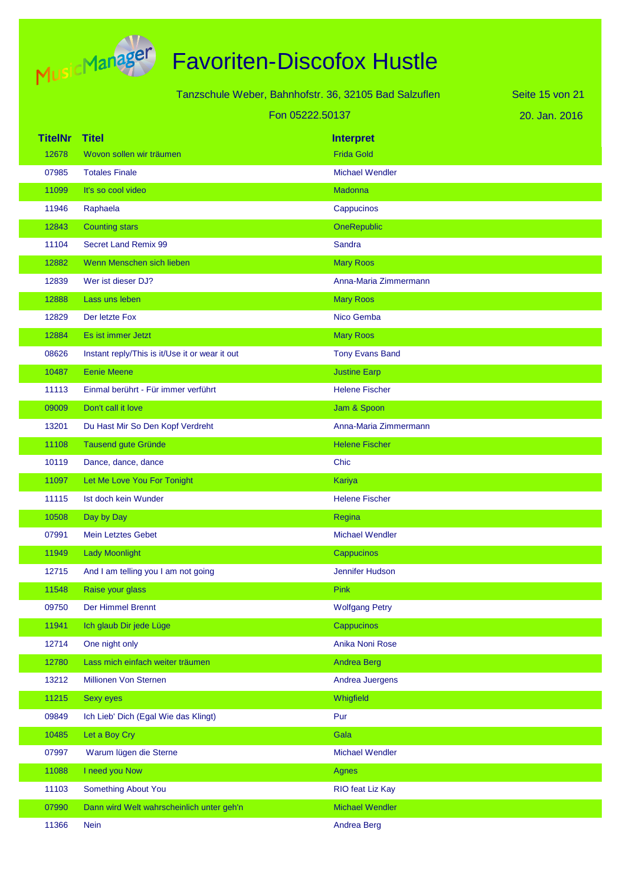

Tanzschule Weber, Bahnhofstr. 36, 32105 Bad Salzuflen

Fon 05222.50137

20. Jan. 2016 Seite 15 von 21

| <b>TitelNr</b> | <b>Titel</b>                                   | <b>Interpret</b>       |
|----------------|------------------------------------------------|------------------------|
| 12678          | Wovon sollen wir träumen                       | <b>Frida Gold</b>      |
| 07985          | <b>Totales Finale</b>                          | <b>Michael Wendler</b> |
| 11099          | It's so cool video                             | Madonna                |
| 11946          | Raphaela                                       | Cappucinos             |
| 12843          | <b>Counting stars</b>                          | OneRepublic            |
| 11104          | <b>Secret Land Remix 99</b>                    | Sandra                 |
| 12882          | Wenn Menschen sich lieben                      | <b>Mary Roos</b>       |
| 12839          | Wer ist dieser DJ?                             | Anna-Maria Zimmermann  |
| 12888          | Lass uns leben                                 | <b>Mary Roos</b>       |
| 12829          | Der letzte Fox                                 | Nico Gemba             |
| 12884          | Es ist immer Jetzt                             | <b>Mary Roos</b>       |
| 08626          | Instant reply/This is it/Use it or wear it out | <b>Tony Evans Band</b> |
| 10487          | <b>Eenie Meene</b>                             | <b>Justine Earp</b>    |
| 11113          | Einmal berührt - Für immer verführt            | <b>Helene Fischer</b>  |
| 09009          | Don't call it love                             | Jam & Spoon            |
| 13201          | Du Hast Mir So Den Kopf Verdreht               | Anna-Maria Zimmermann  |
| 11108          | Tausend gute Gründe                            | <b>Helene Fischer</b>  |
| 10119          | Dance, dance, dance                            | Chic                   |
| 11097          | Let Me Love You For Tonight                    | Kariya                 |
| 11115          | Ist doch kein Wunder                           | <b>Helene Fischer</b>  |
| 10508          | Day by Day                                     | Regina                 |
| 07991          | <b>Mein Letztes Gebet</b>                      | <b>Michael Wendler</b> |
| 11949          | <b>Lady Moonlight</b>                          | Cappucinos             |
| 12715          | And I am telling you I am not going            | Jennifer Hudson        |
| 11548          | Raise your glass                               | Pink                   |
| 09750          | Der Himmel Brennt                              | <b>Wolfgang Petry</b>  |
| 11941          | Ich glaub Dir jede Lüge                        | Cappucinos             |
| 12714          | One night only                                 | Anika Noni Rose        |
| 12780          | Lass mich einfach weiter träumen               | <b>Andrea Berg</b>     |
| 13212          | Millionen Von Sternen                          | Andrea Juergens        |
| 11215          | <b>Sexy eyes</b>                               | Whigfield              |
| 09849          | Ich Lieb' Dich (Egal Wie das Klingt)           | Pur                    |
| 10485          | Let a Boy Cry                                  | Gala                   |
| 07997          | Warum lügen die Sterne                         | <b>Michael Wendler</b> |
| 11088          | I need you Now                                 | <b>Agnes</b>           |
| 11103          | Something About You                            | RIO feat Liz Kay       |
| 07990          | Dann wird Welt wahrscheinlich unter geh'n      | Michael Wendler        |
| 11366          | <b>Nein</b>                                    | Andrea Berg            |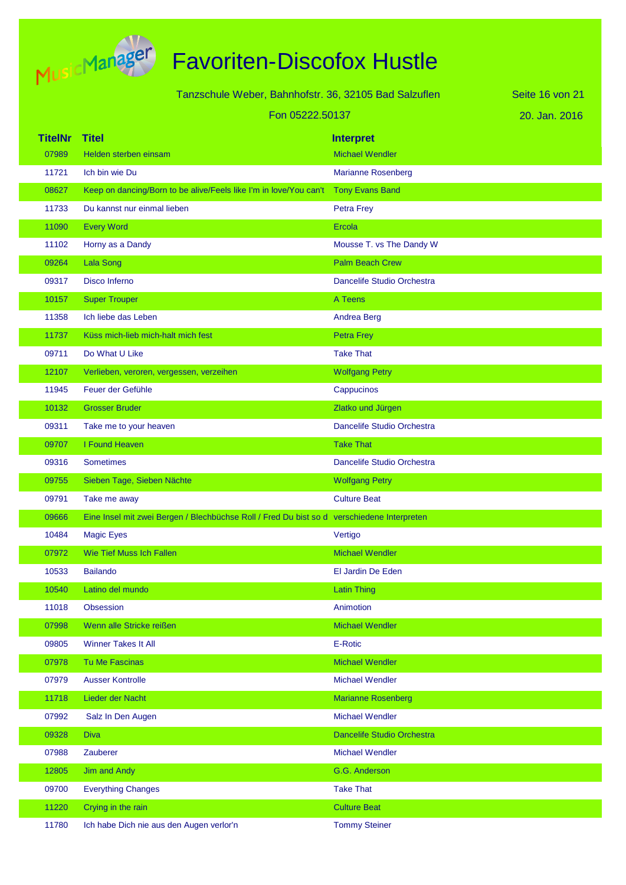

|                | Tanzschule Weber, Bahnhofstr. 36, 32105 Bad Salzuflen                                      |                            | Seite 16 von 21 |
|----------------|--------------------------------------------------------------------------------------------|----------------------------|-----------------|
|                | Fon 05222.50137                                                                            |                            | 20. Jan. 2016   |
|                |                                                                                            |                            |                 |
| <b>TitelNr</b> | <b>Titel</b>                                                                               | <b>Interpret</b>           |                 |
| 07989          | Helden sterben einsam                                                                      | <b>Michael Wendler</b>     |                 |
| 11721          | Ich bin wie Du                                                                             | <b>Marianne Rosenberg</b>  |                 |
| 08627          | Keep on dancing/Born to be alive/Feels like I'm in love/You can't                          | Tony Evans Band            |                 |
| 11733          | Du kannst nur einmal lieben                                                                | <b>Petra Frey</b>          |                 |
| 11090          | <b>Every Word</b>                                                                          | Ercola                     |                 |
| 11102          | Horny as a Dandy                                                                           | Mousse T. vs The Dandy W   |                 |
| 09264          | <b>Lala Song</b>                                                                           | <b>Palm Beach Crew</b>     |                 |
| 09317          | Disco Inferno                                                                              | Dancelife Studio Orchestra |                 |
| 10157          | <b>Super Trouper</b>                                                                       | A Teens                    |                 |
| 11358          | Ich liebe das Leben                                                                        | <b>Andrea Berg</b>         |                 |
| 11737          | Küss mich-lieb mich-halt mich fest                                                         | Petra Frey                 |                 |
| 09711          | Do What U Like                                                                             | <b>Take That</b>           |                 |
| 12107          | Verlieben, veroren, vergessen, verzeihen                                                   | <b>Wolfgang Petry</b>      |                 |
| 11945          | Feuer der Gefühle                                                                          | Cappucinos                 |                 |
| 10132          | <b>Grosser Bruder</b>                                                                      | Zlatko und Jürgen          |                 |
| 09311          | Take me to your heaven                                                                     | Dancelife Studio Orchestra |                 |
| 09707          | I Found Heaven                                                                             | <b>Take That</b>           |                 |
| 09316          | <b>Sometimes</b>                                                                           | Dancelife Studio Orchestra |                 |
| 09755          | Sieben Tage, Sieben Nächte                                                                 | <b>Wolfgang Petry</b>      |                 |
| 09791          | Take me away                                                                               | <b>Culture Beat</b>        |                 |
| 09666          | Eine Insel mit zwei Bergen / Blechbüchse Roll / Fred Du bist so d verschiedene Interpreten |                            |                 |
| 10484          | <b>Magic Eyes</b>                                                                          | Vertigo                    |                 |
| 07972          | Wie Tief Muss Ich Fallen                                                                   | <b>Michael Wendler</b>     |                 |
| 10533          | <b>Bailando</b>                                                                            | El Jardin De Eden          |                 |
| 10540          | Latino del mundo                                                                           | <b>Latin Thing</b>         |                 |
| 11018          | Obsession                                                                                  | Animotion                  |                 |
| 07998          | Wenn alle Stricke reißen                                                                   | <b>Michael Wendler</b>     |                 |
| 09805          | Winner Takes It All                                                                        | E-Rotic                    |                 |
| 07978          | <b>Tu Me Fascinas</b>                                                                      | <b>Michael Wendler</b>     |                 |
| 07979          | <b>Ausser Kontrolle</b>                                                                    | <b>Michael Wendler</b>     |                 |
| 11718          | Lieder der Nacht                                                                           | <b>Marianne Rosenberg</b>  |                 |
| 07992          | Salz In Den Augen                                                                          | <b>Michael Wendler</b>     |                 |
| 09328          | <b>Diva</b>                                                                                | Dancelife Studio Orchestra |                 |
| 07988          | Zauberer                                                                                   | <b>Michael Wendler</b>     |                 |
| 12805          | Jim and Andy                                                                               | G.G. Anderson              |                 |
| 09700          | <b>Everything Changes</b>                                                                  | <b>Take That</b>           |                 |
| 11220          | Crying in the rain                                                                         | <b>Culture Beat</b>        |                 |
| 11780          | Ich habe Dich nie aus den Augen verlor'n                                                   | <b>Tommy Steiner</b>       |                 |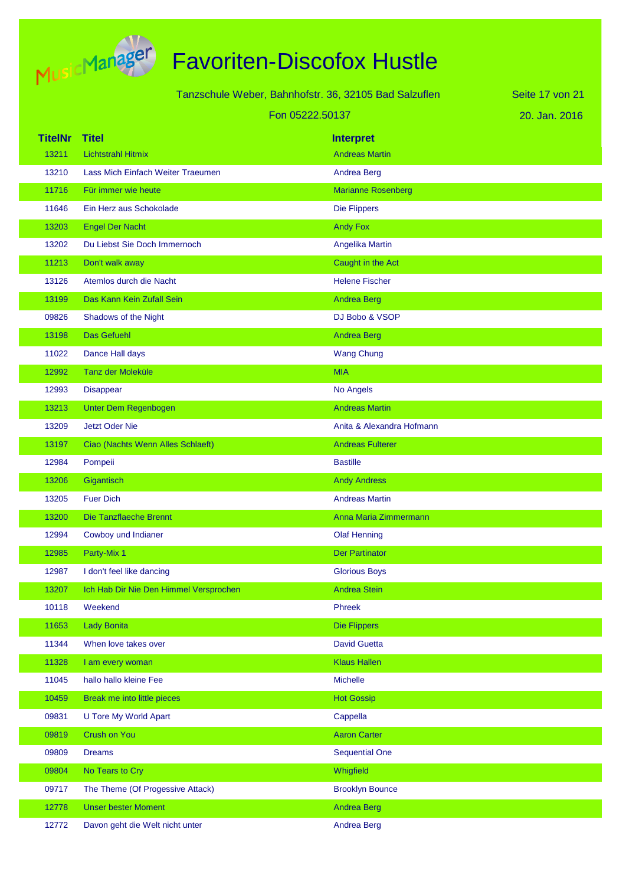

# Favoriten-Discofox Hustle

|                |                                        | Tanzschule Weber, Bahnhofstr. 36, 32105 Bad Salzuflen | Seite 17 von 21 |
|----------------|----------------------------------------|-------------------------------------------------------|-----------------|
|                |                                        | Fon 05222.50137                                       | 20. Jan. 2016   |
| <b>TitelNr</b> | Titel                                  | <b>Interpret</b>                                      |                 |
| 13211          | <b>Lichtstrahl Hitmix</b>              | <b>Andreas Martin</b>                                 |                 |
| 13210          | Lass Mich Einfach Weiter Traeumen      | <b>Andrea Berg</b>                                    |                 |
| 11716          | Für immer wie heute                    | <b>Marianne Rosenberg</b>                             |                 |
| 11646          | Ein Herz aus Schokolade                | <b>Die Flippers</b>                                   |                 |
| 13203          | <b>Engel Der Nacht</b>                 | <b>Andy Fox</b>                                       |                 |
| 13202          | Du Liebst Sie Doch Immernoch           | Angelika Martin                                       |                 |
| 11213          | Don't walk away                        | Caught in the Act                                     |                 |
| 13126          | Atemlos durch die Nacht                | <b>Helene Fischer</b>                                 |                 |
| 13199          | Das Kann Kein Zufall Sein              | <b>Andrea Berg</b>                                    |                 |
| 09826          | Shadows of the Night                   | DJ Bobo & VSOP                                        |                 |
| 13198          | <b>Das Gefuehl</b>                     | <b>Andrea Berg</b>                                    |                 |
| 11022          | Dance Hall days                        | <b>Wang Chung</b>                                     |                 |
| 12992          | Tanz der Moleküle                      | <b>MIA</b>                                            |                 |
| 12993          | Disappear                              | No Angels                                             |                 |
| 13213          | Unter Dem Regenbogen                   | <b>Andreas Martin</b>                                 |                 |
| 13209          | <b>Jetzt Oder Nie</b>                  | Anita & Alexandra Hofmann                             |                 |
| 13197          | Ciao (Nachts Wenn Alles Schlaeft)      | <b>Andreas Fulterer</b>                               |                 |
| 12984          | Pompeii                                | <b>Bastille</b>                                       |                 |
| 13206          | Gigantisch                             | <b>Andy Andress</b>                                   |                 |
| 13205          | <b>Fuer Dich</b>                       | <b>Andreas Martin</b>                                 |                 |
| 13200          | Die Tanzflaeche Brennt                 | Anna Maria Zimmermann                                 |                 |
| 12994          | Cowboy und Indianer                    | <b>Olaf Henning</b>                                   |                 |
| 12985          | Party-Mix 1                            | <b>Der Partinator</b>                                 |                 |
| 12987          | I don't feel like dancing              | <b>Glorious Boys</b>                                  |                 |
| 13207          | Ich Hab Dir Nie Den Himmel Versprochen | <b>Andrea Stein</b>                                   |                 |
| 10118          | Weekend                                | Phreek                                                |                 |
| 11653          | <b>Lady Bonita</b>                     | <b>Die Flippers</b>                                   |                 |
| 11344          | When love takes over                   | <b>David Guetta</b>                                   |                 |
| 11328          | I am every woman                       | <b>Klaus Hallen</b>                                   |                 |
| 11045          | hallo hallo kleine Fee                 | <b>Michelle</b>                                       |                 |
| 10459          | Break me into little pieces            | <b>Hot Gossip</b>                                     |                 |
| 09831          | <b>U Tore My World Apart</b>           | Cappella                                              |                 |
| 09819          | <b>Crush on You</b>                    | <b>Aaron Carter</b>                                   |                 |
| 09809          | <b>Dreams</b>                          | <b>Sequential One</b>                                 |                 |
| 09804          | No Tears to Cry                        | Whigfield                                             |                 |
| 09717          | The Theme (Of Progessive Attack)       | <b>Brooklyn Bounce</b>                                |                 |

12778 Unser bester Moment Andrea Berg Andrea Berg 12772 Davon geht die Welt nicht unter Andrea Berg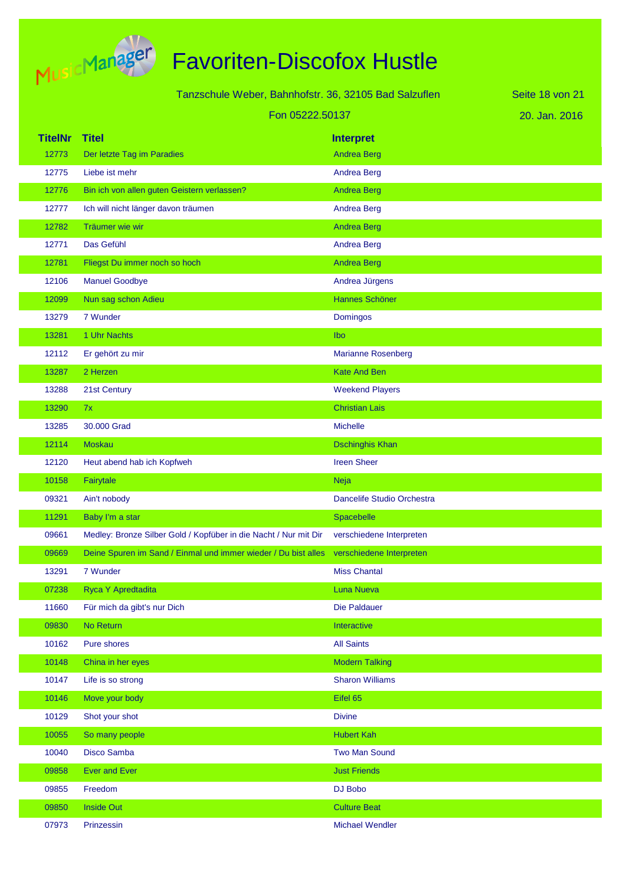

|                |                                                                                         |                            | Seite 18 von 21 |
|----------------|-----------------------------------------------------------------------------------------|----------------------------|-----------------|
|                | Tanzschule Weber, Bahnhofstr. 36, 32105 Bad Salzuflen                                   |                            |                 |
|                | Fon 05222.50137                                                                         |                            | 20. Jan. 2016   |
| <b>TitelNr</b> | Titel                                                                                   | <b>Interpret</b>           |                 |
| 12773          | Der letzte Tag im Paradies                                                              | <b>Andrea Berg</b>         |                 |
| 12775          | Liebe ist mehr                                                                          | <b>Andrea Berg</b>         |                 |
| 12776          | Bin ich von allen guten Geistern verlassen?                                             | <b>Andrea Berg</b>         |                 |
| 12777          | Ich will nicht länger davon träumen                                                     | <b>Andrea Berg</b>         |                 |
| 12782          | Träumer wie wir                                                                         | <b>Andrea Berg</b>         |                 |
| 12771          | Das Gefühl                                                                              | <b>Andrea Berg</b>         |                 |
| 12781          | Fliegst Du immer noch so hoch                                                           | <b>Andrea Berg</b>         |                 |
| 12106          | <b>Manuel Goodbye</b>                                                                   | Andrea Jürgens             |                 |
| 12099          | Nun sag schon Adieu                                                                     | Hannes Schöner             |                 |
| 13279          | 7 Wunder                                                                                | <b>Domingos</b>            |                 |
| 13281          | 1 Uhr Nachts                                                                            | Ibo                        |                 |
| 12112          | Er gehört zu mir                                                                        | <b>Marianne Rosenberg</b>  |                 |
| 13287          | 2 Herzen                                                                                | <b>Kate And Ben</b>        |                 |
| 13288          | 21st Century                                                                            | <b>Weekend Players</b>     |                 |
| 13290          | 7x                                                                                      | <b>Christian Lais</b>      |                 |
| 13285          | 30.000 Grad                                                                             | <b>Michelle</b>            |                 |
| 12114          | <b>Moskau</b>                                                                           | <b>Dschinghis Khan</b>     |                 |
| 12120          | Heut abend hab ich Kopfweh                                                              | <b>Ireen Sheer</b>         |                 |
| 10158          | Fairytale                                                                               | <b>Neja</b>                |                 |
| 09321          | Ain't nobody                                                                            | Dancelife Studio Orchestra |                 |
| 11291          | Baby I'm a star                                                                         | Spacebelle                 |                 |
| 09661          | Medley: Bronze Silber Gold / Kopfüber in die Nacht / Nur mit Dir                        | verschiedene Interpreten   |                 |
| 09669          | Deine Spuren im Sand / Einmal und immer wieder / Du bist alles verschiedene Interpreten |                            |                 |
| 13291          | 7 Wunder                                                                                | <b>Miss Chantal</b>        |                 |
| 07238          | Ryca Y Apredtadita                                                                      | Luna Nueva                 |                 |
| 11660          | Für mich da gibt's nur Dich                                                             | Die Paldauer               |                 |
| 09830          | No Return                                                                               | Interactive                |                 |
| 10162          | Pure shores                                                                             | <b>All Saints</b>          |                 |
| 10148          | China in her eyes                                                                       | <b>Modern Talking</b>      |                 |
| 10147          | Life is so strong                                                                       | <b>Sharon Williams</b>     |                 |
| 10146          | Move your body                                                                          | Eifel 65                   |                 |
| 10129          | Shot your shot                                                                          | <b>Divine</b>              |                 |
| 10055          | So many people                                                                          | <b>Hubert Kah</b>          |                 |
| 10040          | Disco Samba                                                                             | <b>Two Man Sound</b>       |                 |
| 09858          | <b>Ever and Ever</b>                                                                    | <b>Just Friends</b>        |                 |
| 09855          | Freedom                                                                                 | DJ Bobo                    |                 |
| 09850          | <b>Inside Out</b>                                                                       | <b>Culture Beat</b>        |                 |
| 07973          | Prinzessin                                                                              | <b>Michael Wendler</b>     |                 |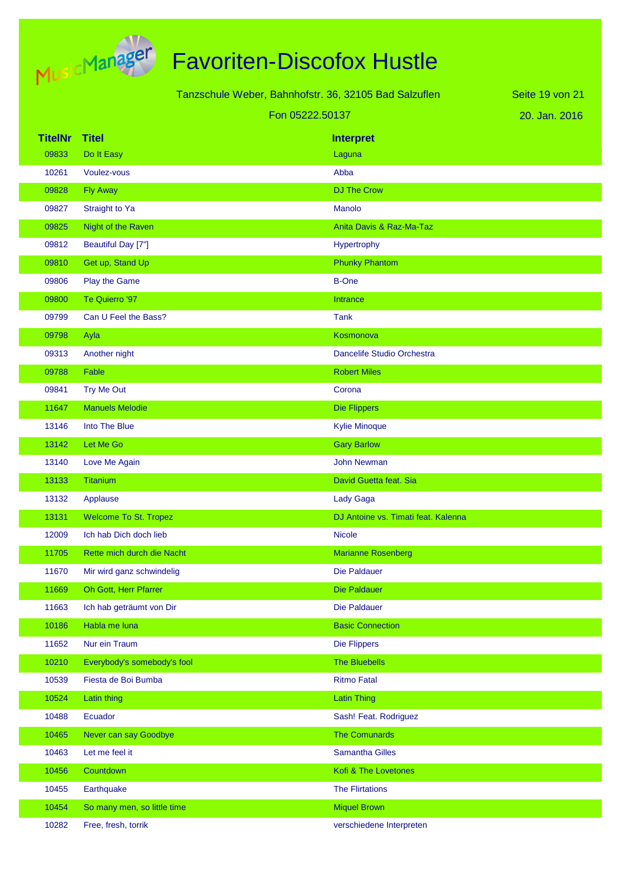

Tanzschule Weber, Bahnhofstr. 36, 32105 Bad Salzuflen Fon 05222.50137

20. Jan. 2016 Seite 19 von 21

| <b>TitelNr</b> | <b>Titel</b>                 | <b>Interpret</b>                    |
|----------------|------------------------------|-------------------------------------|
| 09833          | Do It Easy                   | Laguna                              |
| 10261          | Voulez-vous                  | Abba                                |
| 09828          | <b>Fly Away</b>              | <b>DJ The Crow</b>                  |
| 09827          | Straight to Ya               | Manolo                              |
| 09825          | Night of the Raven           | Anita Davis & Raz-Ma-Taz            |
| 09812          | Beautiful Day [7"]           | Hypertrophy                         |
| 09810          | Get up, Stand Up             | <b>Phunky Phantom</b>               |
| 09806          | Play the Game                | <b>B-One</b>                        |
| 09800          | Te Quierro '97               | Intrance                            |
| 09799          | Can U Feel the Bass?         | <b>Tank</b>                         |
| 09798          | Ayla                         | Kosmonova                           |
| 09313          | Another night                | Dancelife Studio Orchestra          |
| 09788          | Fable                        | <b>Robert Miles</b>                 |
| 09841          | Try Me Out                   | Corona                              |
| 11647          | <b>Manuels Melodie</b>       | <b>Die Flippers</b>                 |
| 13146          | Into The Blue                | <b>Kylie Minoque</b>                |
| 13142          | Let Me Go                    | <b>Gary Barlow</b>                  |
| 13140          | Love Me Again                | <b>John Newman</b>                  |
| 13133          | Titanium                     | David Guetta feat. Sia              |
| 13132          | Applause                     | Lady Gaga                           |
| 13131          | <b>Welcome To St. Tropez</b> | DJ Antoine vs. Timati feat. Kalenna |
| 12009          | Ich hab Dich doch lieb       | <b>Nicole</b>                       |
| 11705          | Rette mich durch die Nacht   | <b>Marianne Rosenberg</b>           |
| 11670          | Mir wird ganz schwindelig    | <b>Die Paldauer</b>                 |
| 11669          | Oh Gott, Herr Pfarrer        | <b>Die Paldauer</b>                 |
| 11663          | Ich hab geträumt von Dir     | Die Paldauer                        |
| 10186          | Habla me luna                | <b>Basic Connection</b>             |
| 11652          | Nur ein Traum                | <b>Die Flippers</b>                 |
| 10210          | Everybody's somebody's fool  | <b>The Bluebells</b>                |
| 10539          | Fiesta de Boi Bumba          | <b>Ritmo Fatal</b>                  |
| 10524          | Latin thing                  | <b>Latin Thing</b>                  |
| 10488          | Ecuador                      | Sash! Feat. Rodriguez               |
| 10465          | Never can say Goodbye        | <b>The Comunards</b>                |
| 10463          | Let me feel it               | <b>Samantha Gilles</b>              |
| 10456          | Countdown                    | Kofi & The Lovetones                |
| 10455          | Earthquake                   | <b>The Flirtations</b>              |
| 10454          | So many men, so little time  | <b>Miquel Brown</b>                 |
| 10282          | Free, fresh, torrik          | verschiedene Interpreten            |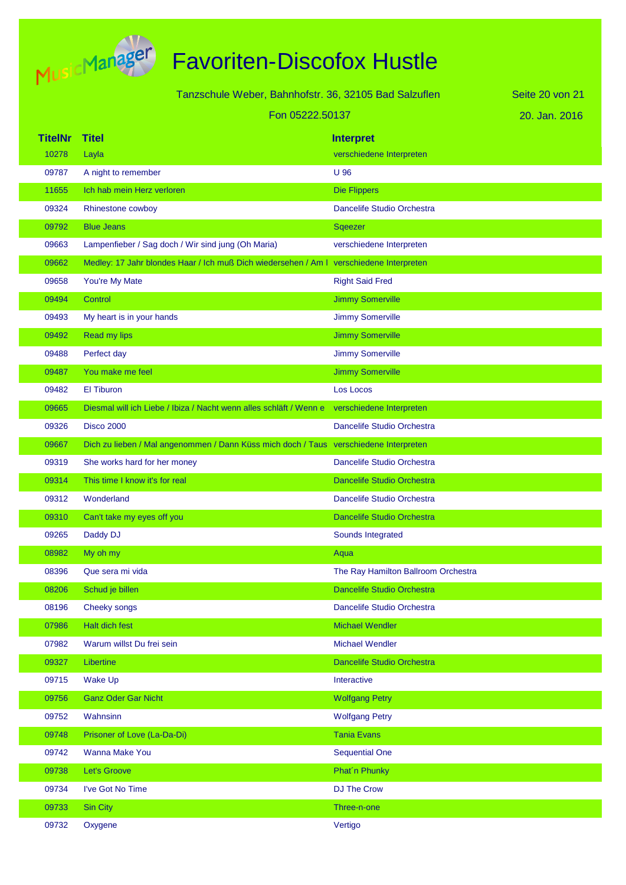

|         | Tanzschule Weber, Bahnhofstr. 36, 32105 Bad Salzuflen                                   | Seite 20 von 21                     |  |
|---------|-----------------------------------------------------------------------------------------|-------------------------------------|--|
|         | Fon 05222.50137                                                                         | 20. Jan. 2016                       |  |
| TitelNr | <b>Titel</b>                                                                            | <b>Interpret</b>                    |  |
| 10278   | Layla                                                                                   | verschiedene Interpreten            |  |
| 09787   | A night to remember                                                                     | U 96                                |  |
| 11655   | Ich hab mein Herz verloren                                                              | <b>Die Flippers</b>                 |  |
| 09324   | Rhinestone cowboy                                                                       | Dancelife Studio Orchestra          |  |
| 09792   | <b>Blue Jeans</b>                                                                       | Sqeezer                             |  |
| 09663   | Lampenfieber / Sag doch / Wir sind jung (Oh Maria)                                      | verschiedene Interpreten            |  |
| 09662   | Medley: 17 Jahr blondes Haar / Ich muß Dich wiedersehen / Am I verschiedene Interpreten |                                     |  |
| 09658   | You're My Mate                                                                          | <b>Right Said Fred</b>              |  |
| 09494   | Control                                                                                 | <b>Jimmy Somerville</b>             |  |
| 09493   | My heart is in your hands                                                               | <b>Jimmy Somerville</b>             |  |
| 09492   | Read my lips                                                                            | <b>Jimmy Somerville</b>             |  |
| 09488   | Perfect day                                                                             | Jimmy Somerville                    |  |
| 09487   | You make me feel                                                                        | <b>Jimmy Somerville</b>             |  |
| 09482   | <b>El Tiburon</b>                                                                       | Los Locos                           |  |
| 09665   | Diesmal will ich Liebe / Ibiza / Nacht wenn alles schläft / Wenn e                      | verschiedene Interpreten            |  |
| 09326   | <b>Disco 2000</b>                                                                       | Dancelife Studio Orchestra          |  |
| 09667   | Dich zu lieben / Mal angenommen / Dann Küss mich doch / Taus verschiedene Interpreten   |                                     |  |
| 09319   | She works hard for her money                                                            | Dancelife Studio Orchestra          |  |
| 09314   | This time I know it's for real                                                          | <b>Dancelife Studio Orchestra</b>   |  |
| 09312   | Wonderland                                                                              | Dancelife Studio Orchestra          |  |
| 09310   | Can't take my eyes off you                                                              | Dancelife Studio Orchestra          |  |
| 09265   | Daddy DJ                                                                                | Sounds Integrated                   |  |
| 08982   | My oh my                                                                                | Aqua                                |  |
| 08396   | Que sera mi vida                                                                        | The Ray Hamilton Ballroom Orchestra |  |
| 08206   | Schud je billen                                                                         | Dancelife Studio Orchestra          |  |
| 08196   | Cheeky songs                                                                            | Dancelife Studio Orchestra          |  |
| 07986   | Halt dich fest                                                                          | <b>Michael Wendler</b>              |  |
| 07982   | Warum willst Du frei sein                                                               | <b>Michael Wendler</b>              |  |
| 09327   | Libertine                                                                               | Dancelife Studio Orchestra          |  |
| 09715   | <b>Wake Up</b>                                                                          | Interactive                         |  |

09756 Ganz Oder Gar Nicht Wolfgang Petry 09752 Wahnsinn Wolfgang Petry 09748 Prisoner of Love (La-Da-Di) **Tania Evans** Tania Evans 09742 Wanna Make You Sequential One 09738 Let's Groove Phatín Phunky Phatín Phunky 09734 I've Got No Time **DU The Crow** 09733 Sin City Three-n-one

09732 Oxygene Vertigo